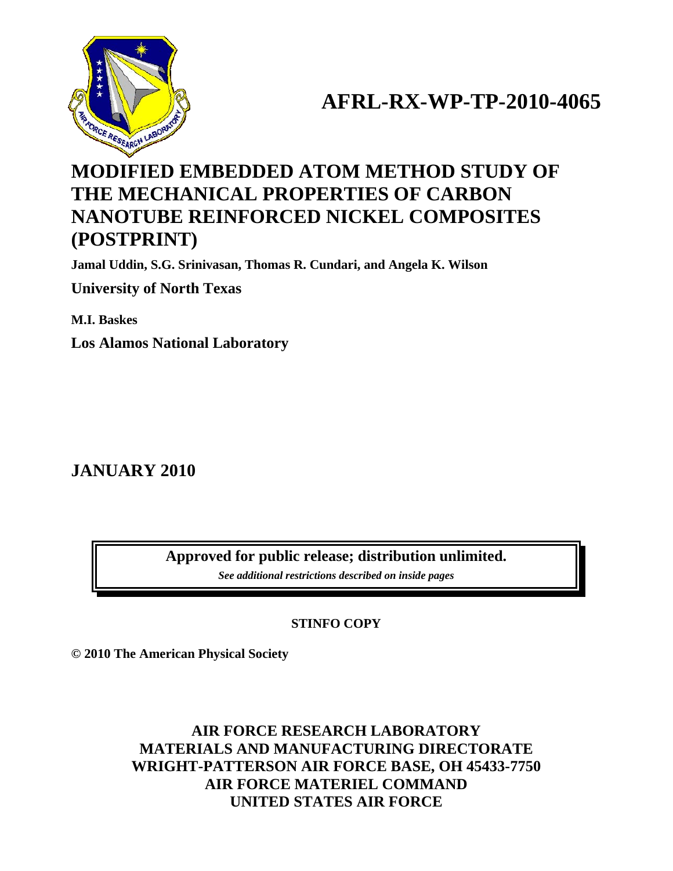

# **AFRL-RX-WP-TP-2010-4065**

## **MODIFIED EMBEDDED ATOM METHOD STUDY OF THE MECHANICAL PROPERTIES OF CARBON NANOTUBE REINFORCED NICKEL COMPOSITES (POSTPRINT)**

**Jamal Uddin, S.G. Srinivasan, Thomas R. Cundari, and Angela K. Wilson** 

**University of North Texas** 

**M.I. Baskes** 

**Los Alamos National Laboratory** 

**JANUARY 2010** 

**Approved for public release; distribution unlimited.** 

*See additional restrictions described on inside pages*

**STINFO COPY** 

**© 2010 The American Physical Society** 

**AIR FORCE RESEARCH LABORATORY MATERIALS AND MANUFACTURING DIRECTORATE WRIGHT-PATTERSON AIR FORCE BASE, OH 45433-7750 AIR FORCE MATERIEL COMMAND UNITED STATES AIR FORCE**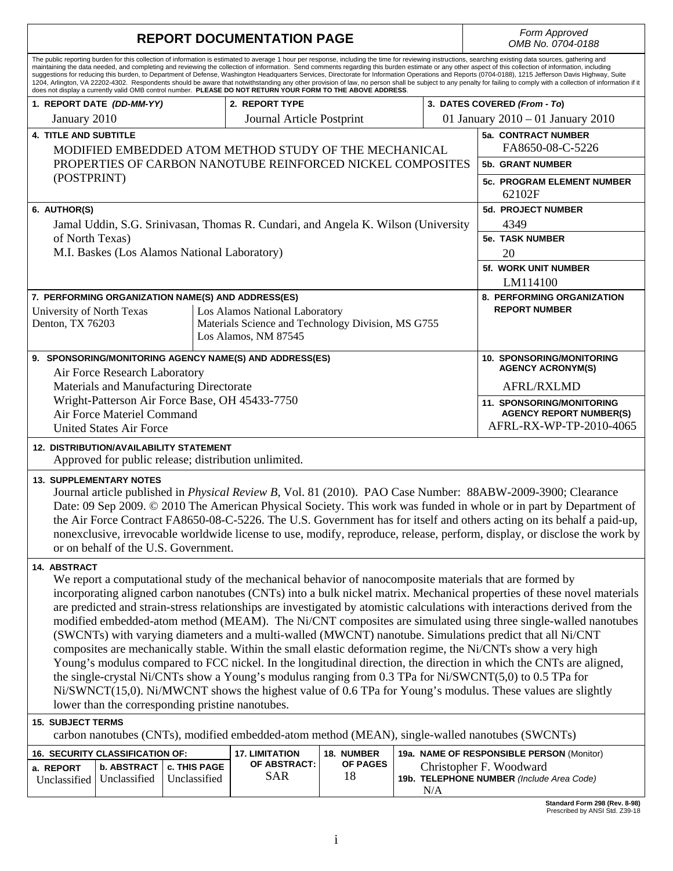| <b>REPORT DOCUMENTATION PAGE</b>                                                                                                                                                                                                                                                                                                                                                                                                                                                                                                                                           | Form Approved<br>OMB No. 0704-0188          |                                                                                      |                |  |     |                                                                                                                                                                                                                                                                                                                                                                                                                                                                                                                                                                                                                                                                                                                                                                                                                                                     |  |  |  |
|----------------------------------------------------------------------------------------------------------------------------------------------------------------------------------------------------------------------------------------------------------------------------------------------------------------------------------------------------------------------------------------------------------------------------------------------------------------------------------------------------------------------------------------------------------------------------|---------------------------------------------|--------------------------------------------------------------------------------------|----------------|--|-----|-----------------------------------------------------------------------------------------------------------------------------------------------------------------------------------------------------------------------------------------------------------------------------------------------------------------------------------------------------------------------------------------------------------------------------------------------------------------------------------------------------------------------------------------------------------------------------------------------------------------------------------------------------------------------------------------------------------------------------------------------------------------------------------------------------------------------------------------------------|--|--|--|
| does not display a currently valid OMB control number. PLEASE DO NOT RETURN YOUR FORM TO THE ABOVE ADDRESS.                                                                                                                                                                                                                                                                                                                                                                                                                                                                |                                             |                                                                                      |                |  |     | The public reporting burden for this collection of information is estimated to average 1 hour per response, including the time for reviewing instructions, searching existing data sources, gathering and<br>maintaining the data needed, and completing and reviewing the collection of information. Send comments regarding this burden estimate or any other aspect of this collection of information, including<br>suggestions for reducing this burden, to Department of Defense, Washington Headquarters Services, Directorate for Information Operations and Reports (0704-0188), 1215 Jefferson Davis Highway, Suite<br>1204, Arlington, VA 22202-4302. Respondents should be aware that notwithstanding any other provision of law, no person shall be subject to any penalty for failing to comply with a collection of information if it |  |  |  |
| 1. REPORT DATE (DD-MM-YY)                                                                                                                                                                                                                                                                                                                                                                                                                                                                                                                                                  |                                             | 2. REPORT TYPE                                                                       |                |  |     | 3. DATES COVERED (From - To)                                                                                                                                                                                                                                                                                                                                                                                                                                                                                                                                                                                                                                                                                                                                                                                                                        |  |  |  |
| January 2010                                                                                                                                                                                                                                                                                                                                                                                                                                                                                                                                                               |                                             | Journal Article Postprint                                                            |                |  |     | 01 January 2010 - 01 January 2010                                                                                                                                                                                                                                                                                                                                                                                                                                                                                                                                                                                                                                                                                                                                                                                                                   |  |  |  |
| <b>4. TITLE AND SUBTITLE</b><br>MODIFIED EMBEDDED ATOM METHOD STUDY OF THE MECHANICAL                                                                                                                                                                                                                                                                                                                                                                                                                                                                                      |                                             |                                                                                      |                |  |     | 5a. CONTRACT NUMBER<br>FA8650-08-C-5226                                                                                                                                                                                                                                                                                                                                                                                                                                                                                                                                                                                                                                                                                                                                                                                                             |  |  |  |
| PROPERTIES OF CARBON NANOTUBE REINFORCED NICKEL COMPOSITES                                                                                                                                                                                                                                                                                                                                                                                                                                                                                                                 |                                             |                                                                                      |                |  |     | <b>5b. GRANT NUMBER</b>                                                                                                                                                                                                                                                                                                                                                                                                                                                                                                                                                                                                                                                                                                                                                                                                                             |  |  |  |
| (POSTPRINT)                                                                                                                                                                                                                                                                                                                                                                                                                                                                                                                                                                | <b>5c. PROGRAM ELEMENT NUMBER</b><br>62102F |                                                                                      |                |  |     |                                                                                                                                                                                                                                                                                                                                                                                                                                                                                                                                                                                                                                                                                                                                                                                                                                                     |  |  |  |
| 6. AUTHOR(S)                                                                                                                                                                                                                                                                                                                                                                                                                                                                                                                                                               | <b>5d. PROJECT NUMBER</b>                   |                                                                                      |                |  |     |                                                                                                                                                                                                                                                                                                                                                                                                                                                                                                                                                                                                                                                                                                                                                                                                                                                     |  |  |  |
| Jamal Uddin, S.G. Srinivasan, Thomas R. Cundari, and Angela K. Wilson (University                                                                                                                                                                                                                                                                                                                                                                                                                                                                                          | 4349                                        |                                                                                      |                |  |     |                                                                                                                                                                                                                                                                                                                                                                                                                                                                                                                                                                                                                                                                                                                                                                                                                                                     |  |  |  |
| of North Texas)                                                                                                                                                                                                                                                                                                                                                                                                                                                                                                                                                            |                                             |                                                                                      |                |  |     | <b>5e. TASK NUMBER</b>                                                                                                                                                                                                                                                                                                                                                                                                                                                                                                                                                                                                                                                                                                                                                                                                                              |  |  |  |
| M.I. Baskes (Los Alamos National Laboratory)                                                                                                                                                                                                                                                                                                                                                                                                                                                                                                                               |                                             |                                                                                      |                |  |     | 20                                                                                                                                                                                                                                                                                                                                                                                                                                                                                                                                                                                                                                                                                                                                                                                                                                                  |  |  |  |
|                                                                                                                                                                                                                                                                                                                                                                                                                                                                                                                                                                            |                                             |                                                                                      |                |  |     | <b>5f. WORK UNIT NUMBER</b>                                                                                                                                                                                                                                                                                                                                                                                                                                                                                                                                                                                                                                                                                                                                                                                                                         |  |  |  |
|                                                                                                                                                                                                                                                                                                                                                                                                                                                                                                                                                                            |                                             |                                                                                      |                |  |     | LM114100                                                                                                                                                                                                                                                                                                                                                                                                                                                                                                                                                                                                                                                                                                                                                                                                                                            |  |  |  |
| 7. PERFORMING ORGANIZATION NAME(S) AND ADDRESS(ES)                                                                                                                                                                                                                                                                                                                                                                                                                                                                                                                         |                                             |                                                                                      |                |  |     | 8. PERFORMING ORGANIZATION<br><b>REPORT NUMBER</b>                                                                                                                                                                                                                                                                                                                                                                                                                                                                                                                                                                                                                                                                                                                                                                                                  |  |  |  |
| University of North Texas<br>Denton, TX 76203                                                                                                                                                                                                                                                                                                                                                                                                                                                                                                                              |                                             | Los Alamos National Laboratory<br>Materials Science and Technology Division, MS G755 |                |  |     |                                                                                                                                                                                                                                                                                                                                                                                                                                                                                                                                                                                                                                                                                                                                                                                                                                                     |  |  |  |
|                                                                                                                                                                                                                                                                                                                                                                                                                                                                                                                                                                            |                                             | Los Alamos, NM 87545                                                                 |                |  |     |                                                                                                                                                                                                                                                                                                                                                                                                                                                                                                                                                                                                                                                                                                                                                                                                                                                     |  |  |  |
|                                                                                                                                                                                                                                                                                                                                                                                                                                                                                                                                                                            |                                             |                                                                                      |                |  |     |                                                                                                                                                                                                                                                                                                                                                                                                                                                                                                                                                                                                                                                                                                                                                                                                                                                     |  |  |  |
| 9. SPONSORING/MONITORING AGENCY NAME(S) AND ADDRESS(ES)                                                                                                                                                                                                                                                                                                                                                                                                                                                                                                                    |                                             |                                                                                      |                |  |     | <b>10. SPONSORING/MONITORING</b><br><b>AGENCY ACRONYM(S)</b>                                                                                                                                                                                                                                                                                                                                                                                                                                                                                                                                                                                                                                                                                                                                                                                        |  |  |  |
| Air Force Research Laboratory<br>Materials and Manufacturing Directorate                                                                                                                                                                                                                                                                                                                                                                                                                                                                                                   |                                             |                                                                                      |                |  |     | AFRL/RXLMD                                                                                                                                                                                                                                                                                                                                                                                                                                                                                                                                                                                                                                                                                                                                                                                                                                          |  |  |  |
| Wright-Patterson Air Force Base, OH 45433-7750                                                                                                                                                                                                                                                                                                                                                                                                                                                                                                                             |                                             |                                                                                      |                |  |     |                                                                                                                                                                                                                                                                                                                                                                                                                                                                                                                                                                                                                                                                                                                                                                                                                                                     |  |  |  |
| Air Force Materiel Command                                                                                                                                                                                                                                                                                                                                                                                                                                                                                                                                                 |                                             |                                                                                      |                |  |     | 11. SPONSORING/MONITORING<br><b>AGENCY REPORT NUMBER(S)</b>                                                                                                                                                                                                                                                                                                                                                                                                                                                                                                                                                                                                                                                                                                                                                                                         |  |  |  |
| <b>United States Air Force</b>                                                                                                                                                                                                                                                                                                                                                                                                                                                                                                                                             |                                             |                                                                                      |                |  |     | AFRL-RX-WP-TP-2010-4065                                                                                                                                                                                                                                                                                                                                                                                                                                                                                                                                                                                                                                                                                                                                                                                                                             |  |  |  |
| <b>12. DISTRIBUTION/AVAILABILITY STATEMENT</b><br>Approved for public release; distribution unlimited.                                                                                                                                                                                                                                                                                                                                                                                                                                                                     |                                             |                                                                                      |                |  |     |                                                                                                                                                                                                                                                                                                                                                                                                                                                                                                                                                                                                                                                                                                                                                                                                                                                     |  |  |  |
|                                                                                                                                                                                                                                                                                                                                                                                                                                                                                                                                                                            |                                             |                                                                                      |                |  |     |                                                                                                                                                                                                                                                                                                                                                                                                                                                                                                                                                                                                                                                                                                                                                                                                                                                     |  |  |  |
| <b>13. SUPPLEMENTARY NOTES</b><br>Journal article published in <i>Physical Review B</i> , Vol. 81 (2010). PAO Case Number: 88ABW-2009-3900; Clearance<br>Date: 09 Sep 2009. © 2010 The American Physical Society. This work was funded in whole or in part by Department of<br>the Air Force Contract FA8650-08-C-5226. The U.S. Government has for itself and others acting on its behalf a paid-up,<br>nonexclusive, irrevocable worldwide license to use, modify, reproduce, release, perform, display, or disclose the work by<br>or on behalf of the U.S. Government. |                                             |                                                                                      |                |  |     |                                                                                                                                                                                                                                                                                                                                                                                                                                                                                                                                                                                                                                                                                                                                                                                                                                                     |  |  |  |
| 14. ABSTRACT                                                                                                                                                                                                                                                                                                                                                                                                                                                                                                                                                               |                                             |                                                                                      |                |  |     |                                                                                                                                                                                                                                                                                                                                                                                                                                                                                                                                                                                                                                                                                                                                                                                                                                                     |  |  |  |
| We report a computational study of the mechanical behavior of nanocomposite materials that are formed by                                                                                                                                                                                                                                                                                                                                                                                                                                                                   |                                             |                                                                                      |                |  |     | incorporating aligned carbon nanotubes (CNTs) into a bulk nickel matrix. Mechanical properties of these novel materials<br>are predicted and strain-stress relationships are investigated by atomistic calculations with interactions derived from the                                                                                                                                                                                                                                                                                                                                                                                                                                                                                                                                                                                              |  |  |  |
|                                                                                                                                                                                                                                                                                                                                                                                                                                                                                                                                                                            |                                             |                                                                                      |                |  |     | modified embedded-atom method (MEAM). The Ni/CNT composites are simulated using three single-walled nanotubes<br>(SWCNTs) with varying diameters and a multi-walled (MWCNT) nanotube. Simulations predict that all Ni/CNT                                                                                                                                                                                                                                                                                                                                                                                                                                                                                                                                                                                                                           |  |  |  |
|                                                                                                                                                                                                                                                                                                                                                                                                                                                                                                                                                                            |                                             |                                                                                      |                |  |     | composites are mechanically stable. Within the small elastic deformation regime, the Ni/CNTs show a very high                                                                                                                                                                                                                                                                                                                                                                                                                                                                                                                                                                                                                                                                                                                                       |  |  |  |
|                                                                                                                                                                                                                                                                                                                                                                                                                                                                                                                                                                            |                                             |                                                                                      |                |  |     | Young's modulus compared to FCC nickel. In the longitudinal direction, the direction in which the CNTs are aligned,                                                                                                                                                                                                                                                                                                                                                                                                                                                                                                                                                                                                                                                                                                                                 |  |  |  |
|                                                                                                                                                                                                                                                                                                                                                                                                                                                                                                                                                                            |                                             |                                                                                      |                |  |     | the single-crystal Ni/CNTs show a Young's modulus ranging from 0.3 TPa for Ni/SWCNT(5,0) to 0.5 TPa for<br>Ni/SWNCT(15,0). Ni/MWCNT shows the highest value of 0.6 TPa for Young's modulus. These values are slightly                                                                                                                                                                                                                                                                                                                                                                                                                                                                                                                                                                                                                               |  |  |  |
| lower than the corresponding pristine nanotubes.                                                                                                                                                                                                                                                                                                                                                                                                                                                                                                                           |                                             |                                                                                      |                |  |     |                                                                                                                                                                                                                                                                                                                                                                                                                                                                                                                                                                                                                                                                                                                                                                                                                                                     |  |  |  |
| <b>15. SUBJECT TERMS</b><br>carbon nanotubes (CNTs), modified embedded-atom method (MEAN), single-walled nanotubes (SWCNTs)                                                                                                                                                                                                                                                                                                                                                                                                                                                |                                             |                                                                                      |                |  |     |                                                                                                                                                                                                                                                                                                                                                                                                                                                                                                                                                                                                                                                                                                                                                                                                                                                     |  |  |  |
| 16. SECURITY CLASSIFICATION OF:                                                                                                                                                                                                                                                                                                                                                                                                                                                                                                                                            |                                             | <b>17. LIMITATION</b>                                                                | 18. NUMBER     |  |     | 19a. NAME OF RESPONSIBLE PERSON (Monitor)                                                                                                                                                                                                                                                                                                                                                                                                                                                                                                                                                                                                                                                                                                                                                                                                           |  |  |  |
| <b>b. ABSTRACT</b><br>a. REPORT                                                                                                                                                                                                                                                                                                                                                                                                                                                                                                                                            | c. THIS PAGE                                | OF ABSTRACT:<br>SAR                                                                  | OF PAGES<br>18 |  |     | Christopher F. Woodward                                                                                                                                                                                                                                                                                                                                                                                                                                                                                                                                                                                                                                                                                                                                                                                                                             |  |  |  |
| Unclassified<br>Unclassified                                                                                                                                                                                                                                                                                                                                                                                                                                                                                                                                               | Unclassified                                |                                                                                      |                |  | N/A | 19b. TELEPHONE NUMBER (Include Area Code)                                                                                                                                                                                                                                                                                                                                                                                                                                                                                                                                                                                                                                                                                                                                                                                                           |  |  |  |

**Standard Form 298 (Rev. 8-98)**  Prescribed by ANSI Std. Z39-18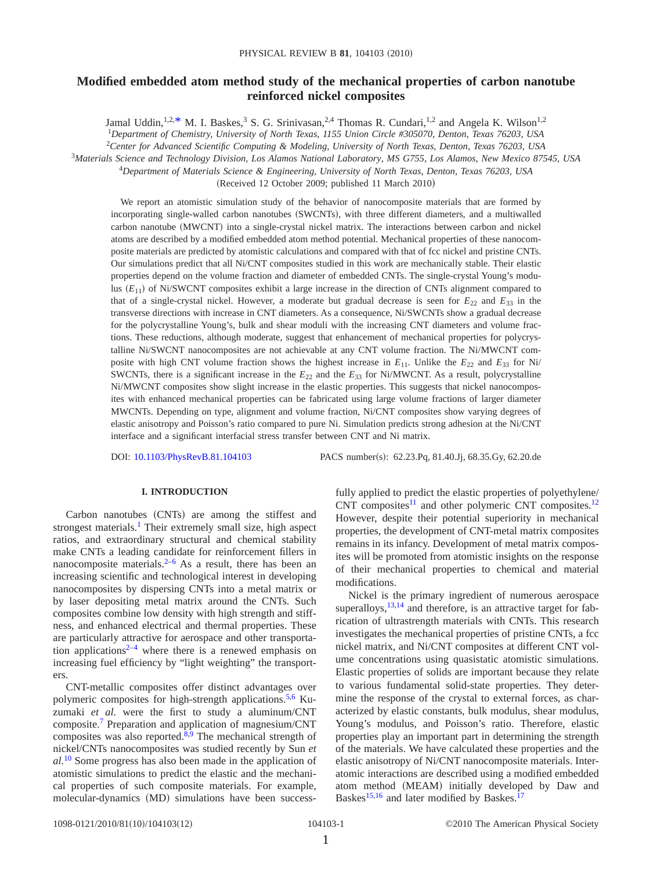## **Modified embedded atom method study of the mechanical properties of carbon nanotube reinforced nickel composites**

Jamal Uddin,  $1.2$ [,\\*](#page-12-0) M. I. Baskes,<sup>3</sup> S. G. Srinivasan,  $2.4$  Thomas R. Cundari,  $1.2$  and Angela K. Wilson<sup>1,2</sup> 1 *Department of Chemistry, University of North Texas, 1155 Union Circle #305070, Denton, Texas 76203, USA*

2 *Center for Advanced Scientific Computing & Modeling, University of North Texas, Denton, Texas 76203, USA*

3 *Materials Science and Technology Division, Los Alamos National Laboratory, MS G755, Los Alamos, New Mexico 87545, USA*

<sup>4</sup>*Department of Materials Science & Engineering, University of North Texas, Denton, Texas 76203, USA*

(Received 12 October 2009; published 11 March 2010)

We report an atomistic simulation study of the behavior of nanocomposite materials that are formed by incorporating single-walled carbon nanotubes (SWCNTs), with three different diameters, and a multiwalled carbon nanotube (MWCNT) into a single-crystal nickel matrix. The interactions between carbon and nickel atoms are described by a modified embedded atom method potential. Mechanical properties of these nanocomposite materials are predicted by atomistic calculations and compared with that of fcc nickel and pristine CNTs. Our simulations predict that all Ni/CNT composites studied in this work are mechanically stable. Their elastic properties depend on the volume fraction and diameter of embedded CNTs. The single-crystal Young's modulus  $(E_{11})$  of Ni/SWCNT composites exhibit a large increase in the direction of CNTs alignment compared to that of a single-crystal nickel. However, a moderate but gradual decrease is seen for  $E_{22}$  and  $E_{33}$  in the transverse directions with increase in CNT diameters. As a consequence, Ni/SWCNTs show a gradual decrease for the polycrystalline Young's, bulk and shear moduli with the increasing CNT diameters and volume fractions. These reductions, although moderate, suggest that enhancement of mechanical properties for polycrystalline Ni/SWCNT nanocomposites are not achievable at any CNT volume fraction. The Ni/MWCNT composite with high CNT volume fraction shows the highest increase in  $E_{11}$ . Unlike the  $E_{22}$  and  $E_{33}$  for Ni/ SWCNTs, there is a significant increase in the  $E_{22}$  and the  $E_{33}$  for Ni/MWCNT. As a result, polycrystalline Ni/MWCNT composites show slight increase in the elastic properties. This suggests that nickel nanocomposites with enhanced mechanical properties can be fabricated using large volume fractions of larger diameter MWCNTs. Depending on type, alignment and volume fraction, Ni/CNT composites show varying degrees of elastic anisotropy and Poisson's ratio compared to pure Ni. Simulation predicts strong adhesion at the Ni/CNT interface and a significant interfacial stress transfer between CNT and Ni matrix.

DOI: [10.1103/PhysRevB.81.104103](http://dx.doi.org/10.1103/PhysRevB.81.104103)

PACS number(s): 62.23.Pq, 81.40.Jj, 68.35.Gy, 62.20.de

## **I. INTRODUCTION**

Carbon nanotubes (CNTs) are among the stiffest and strongest materials.<sup>[1](#page-12-1)</sup> Their extremely small size, high aspect ratios, and extraordinary structural and chemical stability make CNTs a leading candidate for reinforcement fillers in nanocomposite materials.<sup>2-[6](#page-12-3)</sup> As a result, there has been an increasing scientific and technological interest in developing nanocomposites by dispersing CNTs into a metal matrix or by laser depositing metal matrix around the CNTs. Such composites combine low density with high strength and stiffness, and enhanced electrical and thermal properties. These are particularly attractive for aerospace and other transporta-tion applications<sup>2–[4](#page-12-4)</sup> where there is a renewed emphasis on increasing fuel efficiency by "light weighting" the transporters.

CNT-metallic composites offer distinct advantages over polymeric composites for high-strength applications.<sup>5[,6](#page-12-3)</sup> Kuzumaki *et al.* were the first to study a aluminum/CNT composite.[7](#page-12-6) Preparation and application of magnesium/CNT composites was also reported. $8,9$  $8,9$  The mechanical strength of nickel/CNTs nanocomposites was studied recently by Sun *et al.*[10](#page-12-9) Some progress has also been made in the application of atomistic simulations to predict the elastic and the mechanical properties of such composite materials. For example, molecular-dynamics (MD) simulations have been successfully applied to predict the elastic properties of polyethylene/ CNT composites<sup>11</sup> and other polymeric CNT composites.<sup>12</sup> However, despite their potential superiority in mechanical properties, the development of CNT-metal matrix composites remains in its infancy. Development of metal matrix composites will be promoted from atomistic insights on the response of their mechanical properties to chemical and material modifications.

Nickel is the primary ingredient of numerous aerospace superalloys,  $13,14$  $13,14$  and therefore, is an attractive target for fabrication of ultrastrength materials with CNTs. This research investigates the mechanical properties of pristine CNTs, a fcc nickel matrix, and Ni/CNT composites at different CNT volume concentrations using quasistatic atomistic simulations. Elastic properties of solids are important because they relate to various fundamental solid-state properties. They determine the response of the crystal to external forces, as characterized by elastic constants, bulk modulus, shear modulus, Young's modulus, and Poisson's ratio. Therefore, elastic properties play an important part in determining the strength of the materials. We have calculated these properties and the elastic anisotropy of Ni/CNT nanocomposite materials. Interatomic interactions are described using a modified embedded atom method (MEAM) initially developed by Daw and Baskes<sup>15[,16](#page-12-15)</sup> and later modified by Baskes.<sup>17</sup>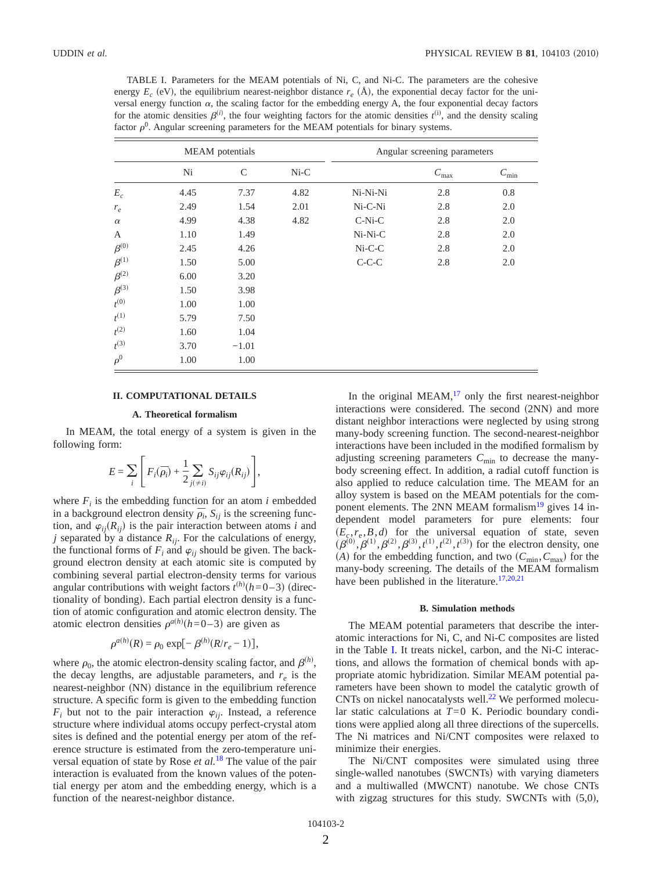<span id="page-3-0"></span>TABLE I. Parameters for the MEAM potentials of Ni, C, and Ni-C. The parameters are the cohesive energy  $E_c$  (eV), the equilibrium nearest-neighbor distance  $r_e$  ( $\AA$ ), the exponential decay factor for the universal energy function  $\alpha$ , the scaling factor for the embedding energy A, the four exponential decay factors for the atomic densities  $\beta^{(i)}$ , the four weighting factors for the atomic densities  $t^{(i)}$ , and the density scaling factor  $\rho^0$ . Angular screening parameters for the MEAM potentials for binary systems.

|               |      | <b>MEAM</b> potentials |        | Angular screening parameters |                  |            |  |  |  |
|---------------|------|------------------------|--------|------------------------------|------------------|------------|--|--|--|
|               | Ni   | $\mathcal{C}$          | $Ni-C$ |                              | $C_{\text{max}}$ | $C_{\min}$ |  |  |  |
| $E_c$         | 4.45 | 7.37                   | 4.82   | Ni-Ni-Ni                     | 2.8              | 0.8        |  |  |  |
| $r_e$         | 2.49 | 1.54                   | 2.01   | Ni-C-Ni                      | 2.8              | 2.0        |  |  |  |
| $\alpha$      | 4.99 | 4.38                   | 4.82   | $C-Ni-C$                     | 2.8              | 2.0        |  |  |  |
| A             | 1.10 | 1.49                   |        | Ni-Ni-C                      | 2.8              | 2.0        |  |  |  |
| $\beta^{(0)}$ | 2.45 | 4.26                   |        | $Ni-C-C$                     | 2.8              | 2.0        |  |  |  |
| $\beta^{(1)}$ | 1.50 | 5.00                   |        | $C-C-C$                      | 2.8              | 2.0        |  |  |  |
| $\beta^{(2)}$ | 6.00 | 3.20                   |        |                              |                  |            |  |  |  |
| $\beta^{(3)}$ | 1.50 | 3.98                   |        |                              |                  |            |  |  |  |
| $t^{(0)}$     | 1.00 | 1.00                   |        |                              |                  |            |  |  |  |
| $t^{(1)}$     | 5.79 | 7.50                   |        |                              |                  |            |  |  |  |
| $t^{(2)}$     | 1.60 | 1.04                   |        |                              |                  |            |  |  |  |
| $t^{(3)}$     | 3.70 | $-1.01$                |        |                              |                  |            |  |  |  |
| $\rho^0$      | 1.00 | 1.00                   |        |                              |                  |            |  |  |  |

### **II. COMPUTATIONAL DETAILS**

#### **A. Theoretical formalism**

In MEAM, the total energy of a system is given in the following form:

$$
E = \sum_{i} \left[ F_i(\overline{\rho}_i) + \frac{1}{2} \sum_{j(\neq i)} S_{ij} \varphi_{ij}(R_{ij}) \right],
$$

where  $F_i$  is the embedding function for an atom *i* embedded in a background electron density  $\bar{\rho}_i$ ,  $S_{ij}$  is the screening function, and  $\varphi_{ij}(R_{ij})$  is the pair interaction between atoms *i* and *j* separated by a distance  $R_{ij}$ . For the calculations of energy, the functional forms of  $F_i$  and  $\varphi_{ij}$  should be given. The background electron density at each atomic site is computed by combining several partial electron-density terms for various angular contributions with weight factors  $t^{(h)}(h=0-3)$  (directionality of bonding). Each partial electron density is a function of atomic configuration and atomic electron density. The atomic electron densities  $\rho^{a(h)}(h=0-3)$  are given as

$$
\rho^{a(h)}(R) = \rho_0 \exp[-\beta^{(h)}(R/r_e - 1)],
$$

where  $\rho_0$ , the atomic electron-density scaling factor, and  $\beta^{(h)}$ , the decay lengths, are adjustable parameters, and  $r_e$  is the nearest-neighbor (NN) distance in the equilibrium reference structure. A specific form is given to the embedding function  $F_i$  but not to the pair interaction  $\varphi_{ij}$ . Instead, a reference structure where individual atoms occupy perfect-crystal atom sites is defined and the potential energy per atom of the reference structure is estimated from the zero-temperature universal equation of state by Rose *et al.*[18](#page-12-17) The value of the pair interaction is evaluated from the known values of the potential energy per atom and the embedding energy, which is a function of the nearest-neighbor distance.

In the original MEAM, $17$  only the first nearest-neighbor interactions were considered. The second (2NN) and more distant neighbor interactions were neglected by using strong many-body screening function. The second-nearest-neighbor interactions have been included in the modified formalism by adjusting screening parameters  $C_{\text{min}}$  to decrease the manybody screening effect. In addition, a radial cutoff function is also applied to reduce calculation time. The MEAM for an alloy system is based on the MEAM potentials for the com-ponent elements. The 2NN MEAM formalism<sup>[19](#page-12-18)</sup> gives 14 independent model parameters for pure elements: four  $(E_c, r_e, B, d)$  for the universal equation of state, seven  $(\beta^{(0)}, \beta^{(1)}, \beta^{(2)}, \beta^{(3)}, t^{(1)}, t^{(2)}, t^{(3)})$  for the electron density, one (A) for the embedding function, and two  $(C_{\text{min}}, C_{\text{max}})$  for the many-body screening. The details of the MEAM formalism have been published in the literature.<sup>17[,20](#page-12-19)[,21](#page-12-20)</sup>

#### **B. Simulation methods**

The MEAM potential parameters that describe the interatomic interactions for Ni, C, and Ni-C composites are listed in the Table [I.](#page-3-0) It treats nickel, carbon, and the Ni-C interactions, and allows the formation of chemical bonds with appropriate atomic hybridization. Similar MEAM potential parameters have been shown to model the catalytic growth of CNTs on nickel nanocatalysts well.<sup>[22](#page-12-21)</sup> We performed molecular static calculations at *T*= 0 K. Periodic boundary conditions were applied along all three directions of the supercells. The Ni matrices and Ni/CNT composites were relaxed to minimize their energies.

The Ni/CNT composites were simulated using three single-walled nanotubes (SWCNTs) with varying diameters and a multiwalled (MWCNT) nanotube. We chose CNTs with zigzag structures for this study. SWCNTs with  $(5,0)$ ,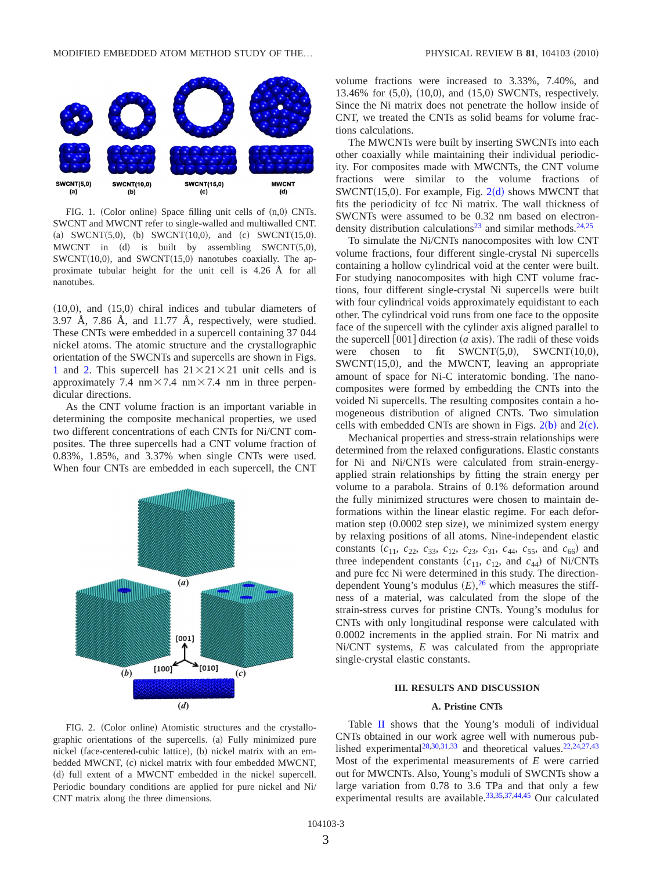<span id="page-4-0"></span>

FIG. 1. (Color online) Space filling unit cells of  $(n,0)$  CNTs. SWCNT and MWCNT refer to single-walled and multiwalled CNT. (a) SWCNT(5,0), (b) SWCNT(10,0), and (c) SWCNT(15,0). MWCNT in  $(d)$  is built by assembling SWCNT $(5,0)$ ,  $SWCNT(10,0)$ , and  $SWCNT(15,0)$  nanotubes coaxially. The approximate tubular height for the unit cell is 4.26 Å for all nanotubes.

 $(10,0)$ , and  $(15,0)$  chiral indices and tubular diameters of 3.97 Å, 7.86 Å, and 11.77 Å, respectively, were studied. These CNTs were embedded in a supercell containing 37 044 nickel atoms. The atomic structure and the crystallographic orientation of the SWCNTs and supercells are shown in Figs. [1](#page-4-0) and [2.](#page-4-1) This supercell has  $21 \times 21 \times 21$  unit cells and is approximately 7.4 nm  $\times$  7.4 nm  $\times$  7.4 nm in three perpendicular directions.

As the CNT volume fraction is an important variable in determining the composite mechanical properties, we used two different concentrations of each CNTs for Ni/CNT composites. The three supercells had a CNT volume fraction of 0.83%, 1.85%, and 3.37% when single CNTs were used. When four CNTs are embedded in each supercell, the CNT

<span id="page-4-1"></span>

volume fractions were increased to 3.33%, 7.40%, and 13.46% for (5,0), (10,0), and (15,0) SWCNTs, respectively. Since the Ni matrix does not penetrate the hollow inside of CNT, we treated the CNTs as solid beams for volume fractions calculations.

The MWCNTs were built by inserting SWCNTs into each other coaxially while maintaining their individual periodicity. For composites made with MWCNTs, the CNT volume fractions were similar to the volume fractions of  $SWCNT(15,0)$ . For example, Fig.  $2(d)$  $2(d)$  shows MWCNT that fits the periodicity of fcc Ni matrix. The wall thickness of SWCNTs were assumed to be 0.32 nm based on electron-density distribution calculations<sup>23</sup> and similar methods.<sup>24[,25](#page-12-24)</sup>

To simulate the Ni/CNTs nanocomposites with low CNT volume fractions, four different single-crystal Ni supercells containing a hollow cylindrical void at the center were built. For studying nanocomposites with high CNT volume fractions, four different single-crystal Ni supercells were built with four cylindrical voids approximately equidistant to each other. The cylindrical void runs from one face to the opposite face of the supercell with the cylinder axis aligned parallel to the supercell  $[001]$  direction  $(a \text{ axis})$ . The radii of these voids were chosen to fit  $SWCNT(5,0)$ ,  $SWCNT(10,0)$ , SWCNT(15,0), and the MWCNT, leaving an appropriate amount of space for Ni-C interatomic bonding. The nanocomposites were formed by embedding the CNTs into the voided Ni supercells. The resulting composites contain a homogeneous distribution of aligned CNTs. Two simulation cells with embedded CNTs are shown in Figs.  $2(b)$  $2(b)$  and  $2(c)$ .

Mechanical properties and stress-strain relationships were determined from the relaxed configurations. Elastic constants for Ni and Ni/CNTs were calculated from strain-energyapplied strain relationships by fitting the strain energy per volume to a parabola. Strains of 0.1% deformation around the fully minimized structures were chosen to maintain deformations within the linear elastic regime. For each deformation step (0.0002 step size), we minimized system energy by relaxing positions of all atoms. Nine-independent elastic constants  $(c_{11}, c_{22}, c_{33}, c_{12}, c_{23}, c_{31}, c_{44}, c_{55}, \text{ and } c_{66})$  and three independent constants  $(c_{11}, c_{12}, \text{ and } c_{44})$  of Ni/CNTs and pure fcc Ni were determined in this study. The directiondependent Young's modulus  $(E)$ , <sup>[26](#page-12-25)</sup> which measures the stiffness of a material, was calculated from the slope of the strain-stress curves for pristine CNTs. Young's modulus for CNTs with only longitudinal response were calculated with 0.0002 increments in the applied strain. For Ni matrix and Ni/CNT systems, *E* was calculated from the appropriate single-crystal elastic constants.

## **III. RESULTS AND DISCUSSION**

### **A. Pristine CNTs**

FIG. 2. (Color online) Atomistic structures and the crystallographic orientations of the supercells. (a) Fully minimized pure nickel (face-centered-cubic lattice), (b) nickel matrix with an embedded MWCNT, (c) nickel matrix with four embedded MWCNT, (d) full extent of a MWCNT embedded in the nickel supercell. Periodic boundary conditions are applied for pure nickel and Ni/ CNT matrix along the three dimensions.

Table [II](#page-5-0) shows that the Young's moduli of individual CNTs obtained in our work agree well with numerous pub-lished experimental<sup>28[,30](#page-12-27)[,31,](#page-12-28)[33](#page-12-29)</sup> and theoretical values.<sup>22[,24,](#page-12-23)[27](#page-12-30)[,43](#page-13-0)</sup> Most of the experimental measurements of *E* were carried out for MWCNTs. Also, Young's moduli of SWCNTs show a large variation from 0.78 to 3.6 TPa and that only a few experimental results are available.<sup>33,[35](#page-13-1)[,37](#page-13-2)[,44](#page-13-3)[,45](#page-13-4)</sup> Our calculated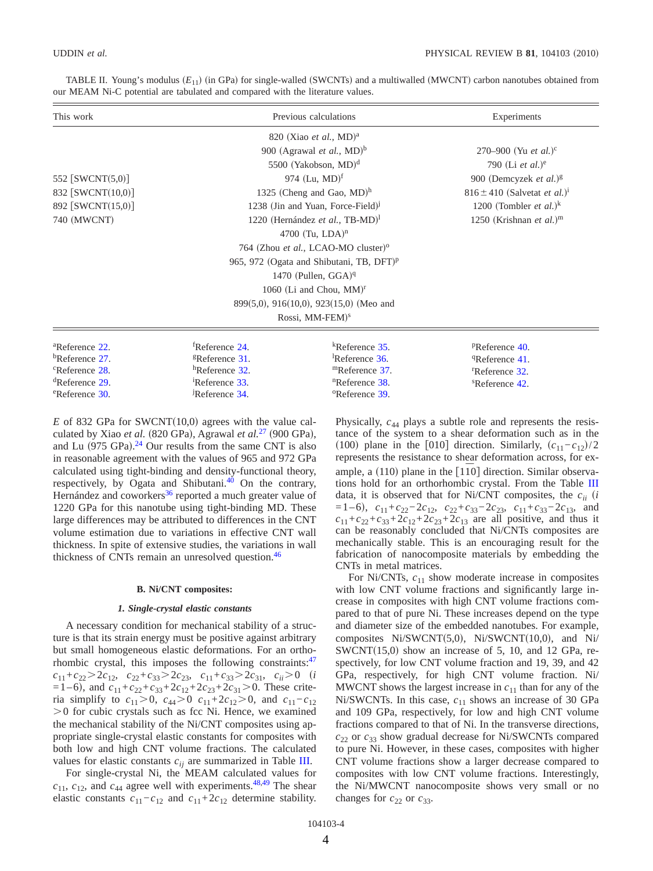| This work                     |                                      | Previous calculations                                |                                                      |  |  |  |  |
|-------------------------------|--------------------------------------|------------------------------------------------------|------------------------------------------------------|--|--|--|--|
|                               |                                      | 820 (Xiao <i>et al.</i> , MD) <sup>a</sup>           |                                                      |  |  |  |  |
|                               |                                      | 900 (Agrawal et al., MD) <sup>b</sup>                | 270–900 (Yu <i>et al.</i> ) <sup>c</sup>             |  |  |  |  |
|                               |                                      | 5500 (Yakobson, MD) <sup>d</sup>                     | 790 (Li <i>et al.</i> ) <sup>e</sup>                 |  |  |  |  |
| 552 $[SWCNT(5,0)]$            |                                      | 974 (Lu, MD) <sup>f</sup>                            | 900 (Demcyzek et al.) $\frac{8}{3}$                  |  |  |  |  |
| 832 [SWCNT(10,0)]             |                                      | 1325 (Cheng and Gao, $MD$ ) <sup>h</sup>             | $816 \pm 410$ (Salvetat <i>et al.</i> ) <sup>1</sup> |  |  |  |  |
| 892 [SWCNT(15,0)]             | 1238 (Jin and Yuan, Force-Field) $j$ | 1200 (Tombler <i>et al.</i> ) <sup>k</sup>           |                                                      |  |  |  |  |
| 740 (MWCNT)                   |                                      | 1220 (Hernández et al., TB-MD) <sup>1</sup>          | 1250 (Krishnan et al.) <sup>m</sup>                  |  |  |  |  |
|                               |                                      | 4700 (Tu, LDA) <sup>n</sup>                          |                                                      |  |  |  |  |
|                               |                                      | 764 (Zhou et al., LCAO-MO cluster) <sup>o</sup>      |                                                      |  |  |  |  |
|                               |                                      | 965, 972 (Ogata and Shibutani, TB, DFT) <sup>p</sup> |                                                      |  |  |  |  |
|                               |                                      | 1470 (Pullen, $GGA$ ) <sup>q</sup>                   |                                                      |  |  |  |  |
|                               |                                      | 1060 (Li and Chou, $MM$ ) <sup>r</sup>               |                                                      |  |  |  |  |
|                               |                                      | $899(5,0)$ , $916(10,0)$ , $923(15,0)$ (Meo and      |                                                      |  |  |  |  |
|                               |                                      | Rossi, MM-FEM) <sup>s</sup>                          |                                                      |  |  |  |  |
| <sup>a</sup> Reference 22.    | <sup>f</sup> Reference 24.           | $k$ Reference 35.                                    | PReference 40.                                       |  |  |  |  |
| $b$ Reference 27.             | <sup>g</sup> Reference 31.           | <sup>1</sup> Reference $36$ .                        | <sup>q</sup> Reference 41.                           |  |  |  |  |
| <sup>c</sup> Reference 28.    | ${}^{\text{h}}$ Reference 32.        | ${}^{\text{m}}$ Reference 37.                        | <sup>r</sup> Reference 32.                           |  |  |  |  |
| ${}^{\text{d}}$ Reference 29. | <sup>1</sup> Reference 33.           | ${}^{\text{n}}$ Reference 38.                        | <sup>s</sup> Reference 42.                           |  |  |  |  |
| <sup>e</sup> Reference 30.    | JReference 34.                       | <sup>o</sup> Reference 39.                           |                                                      |  |  |  |  |

<span id="page-5-0"></span>TABLE II. Young's modulus  $(E_{11})$  (in GPa) for single-walled (SWCNTs) and a multiwalled (MWCNT) carbon nanotubes obtained from our MEAM Ni-C potential are tabulated and compared with the literature values.

 $E$  of 832 GPa for SWCNT(10,0) agrees with the value calculated by Xiao *et al.* (820 GPa), Agrawal *et al.*<sup>[27](#page-12-30)</sup> (900 GPa), and Lu  $(975 \text{ GPa})$ .<sup>[24](#page-12-23)</sup> Our results from the same CNT is also in reasonable agreement with the values of 965 and 972 GPa calculated using tight-binding and density-functional theory, respectively, by Ogata and Shibutani. $40$  On the contrary, Hernández and coworkers<sup>[36](#page-13-6)</sup> reported a much greater value of 1220 GPa for this nanotube using tight-binding MD. These large differences may be attributed to differences in the CNT volume estimation due to variations in effective CNT wall thickness. In spite of extensive studies, the variations in wall thickness of CNTs remain an unresolved question.<sup>46</sup>

#### **B. Ni/CNT composites:**

#### *1. Single-crystal elastic constants*

A necessary condition for mechanical stability of a structure is that its strain energy must be positive against arbitrary but small homogeneous elastic deformations. For an orthorhombic crystal, this imposes the following constraints: $47$  $c_{11}+c_{22}>2c_{12}, c_{22}+c_{33}>2c_{23}, c_{11}+c_{33}>2c_{31}, c_{ii}>0$  *(i*)  $=$ 1–6), and  $c_{11}$ + $c_{22}$ + $c_{33}$ + $2c_{12}$ + $2c_{23}$ + $2c_{31}$  > 0. These criteria simplify to  $c_{11} > 0$ ,  $c_{44} > 0$   $c_{11} + 2c_{12} > 0$ , and  $c_{11} - c_{12}$  $>0$  for cubic crystals such as fcc Ni. Hence, we examined the mechanical stability of the Ni/CNT composites using appropriate single-crystal elastic constants for composites with both low and high CNT volume fractions. The calculated values for elastic constants  $c_{ij}$  are summarized in Table [III.](#page-6-0)

For single-crystal Ni, the MEAM calculated values for  $c_{11}$ ,  $c_{12}$ , and  $c_{44}$  agree well with experiments.<sup>48,[49](#page-13-10)</sup> The shear elastic constants  $c_{11} - c_{12}$  and  $c_{11} + 2c_{12}$  determine stability.

Physically, *c*<sup>44</sup> plays a subtle role and represents the resistance of the system to a shear deformation such as in the (100) plane in the [010] direction. Similarly,  $(c_{11} - c_{12})/2$ represents the resistance to shear deformation across, for example, a (110) plane in the [1<sup> $\overline{10}$ </sup>] direction. Similar observations hold for an orthorhombic crystal. From the Table [III](#page-6-0) data, it is observed that for Ni/CNT composites, the *cii i*  $=1-6$ ,  $c_{11}+c_{22}-2c_{12}$ ,  $c_{22}+c_{33}-2c_{23}$ ,  $c_{11}+c_{33}-2c_{13}$ , and  $c_{11} + c_{22} + c_{33} + 2c_{12} + 2c_{23} + 2c_{13}$  are all positive, and thus it can be reasonably concluded that Ni/CNTs composites are mechanically stable. This is an encouraging result for the fabrication of nanocomposite materials by embedding the CNTs in metal matrices.

For Ni/CNTs,  $c_{11}$  show moderate increase in composites with low CNT volume fractions and significantly large increase in composites with high CNT volume fractions compared to that of pure Ni. These increases depend on the type and diameter size of the embedded nanotubes. For example, composites Ni/SWCNT(5,0), Ni/SWCNT(10,0), and Ni/  $SWCNT(15,0)$  show an increase of 5, 10, and 12 GPa, respectively, for low CNT volume fraction and 19, 39, and 42 GPa, respectively, for high CNT volume fraction. Ni/ MWCNT shows the largest increase in  $c_{11}$  than for any of the Ni/SWCNTs. In this case,  $c_{11}$  shows an increase of 30 GPa and 109 GPa, respectively, for low and high CNT volume fractions compared to that of Ni. In the transverse directions, *c*<sup>22</sup> or *c*<sup>33</sup> show gradual decrease for Ni/SWCNTs compared to pure Ni. However, in these cases, composites with higher CNT volume fractions show a larger decrease compared to composites with low CNT volume fractions. Interestingly, the Ni/MWCNT nanocomposite shows very small or no changes for  $c_{22}$  or  $c_{33}$ .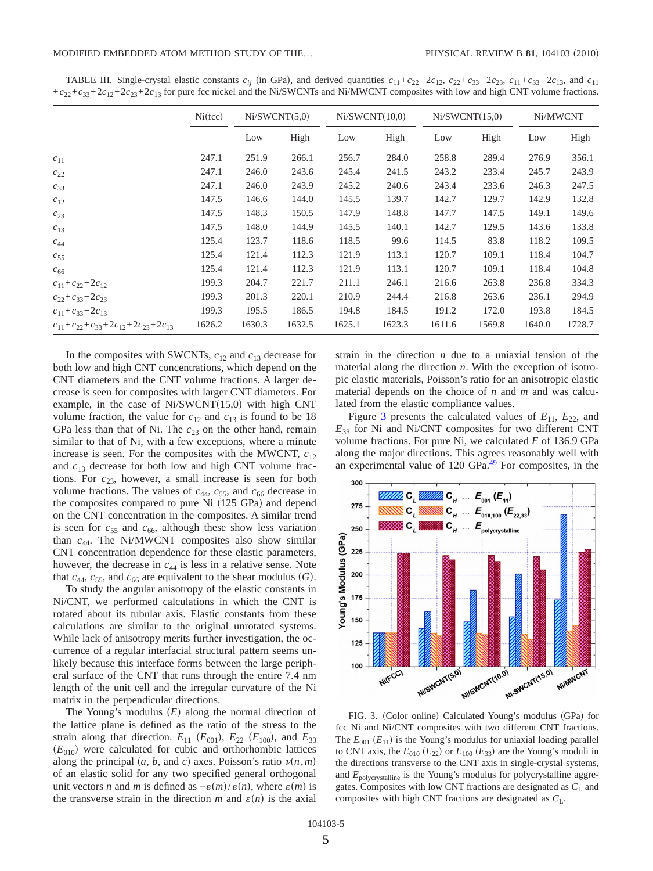|                                                          | Ni(fcc) | Ni/SWCNT(5,0) |        |        | Ni/SWCNT(10,0) | Ni/SWCNT(15,0) |        | Ni/MWCNT |        |
|----------------------------------------------------------|---------|---------------|--------|--------|----------------|----------------|--------|----------|--------|
|                                                          |         | Low           | High   | Low    | High           | Low            | High   | Low      | High   |
| $c_{11}$                                                 | 247.1   | 251.9         | 266.1  | 256.7  | 284.0          | 258.8          | 289.4  | 276.9    | 356.1  |
| $c_{22}$                                                 | 247.1   | 246.0         | 243.6  | 245.4  | 241.5          | 243.2          | 233.4  | 245.7    | 243.9  |
| $c_{33}$                                                 | 247.1   | 246.0         | 243.9  | 245.2  | 240.6          | 243.4          | 233.6  | 246.3    | 247.5  |
| $c_{12}$                                                 | 147.5   | 146.6         | 144.0  | 145.5  | 139.7          | 142.7          | 129.7  | 142.9    | 132.8  |
| $c_{23}$                                                 | 147.5   | 148.3         | 150.5  | 147.9  | 148.8          | 147.7          | 147.5  | 149.1    | 149.6  |
| $c_{13}$                                                 | 147.5   | 148.0         | 144.9  | 145.5  | 140.1          | 142.7          | 129.5  | 143.6    | 133.8  |
| $\mathcal{C}_{44}$                                       | 125.4   | 123.7         | 118.6  | 118.5  | 99.6           | 114.5          | 83.8   | 118.2    | 109.5  |
| $c_{55}$                                                 | 125.4   | 121.4         | 112.3  | 121.9  | 113.1          | 120.7          | 109.1  | 118.4    | 104.7  |
| $c_{66}$                                                 | 125.4   | 121.4         | 112.3  | 121.9  | 113.1          | 120.7          | 109.1  | 118.4    | 104.8  |
| $c_{11}+c_{22}-2c_{12}$                                  | 199.3   | 204.7         | 221.7  | 211.1  | 246.1          | 216.6          | 263.8  | 236.8    | 334.3  |
| $c_{22} + c_{33} - 2c_{23}$                              | 199.3   | 201.3         | 220.1  | 210.9  | 244.4          | 216.8          | 263.6  | 236.1    | 294.9  |
| $c_{11} + c_{33} - 2c_{13}$                              | 199.3   | 195.5         | 186.5  | 194.8  | 184.5          | 191.2          | 172.0  | 193.8    | 184.5  |
| $c_{11} + c_{22} + c_{33} + 2c_{12} + 2c_{23} + 2c_{13}$ | 1626.2  | 1630.3        | 1632.5 | 1625.1 | 1623.3         | 1611.6         | 1569.8 | 1640.0   | 1728.7 |

<span id="page-6-0"></span>TABLE III. Single-crystal elastic constants  $c_{ij}$  (in GPa), and derived quantities  $c_{11} + c_{22} - 2c_{12}$ ,  $c_{22} + c_{33} - 2c_{23}$ ,  $c_{11} + c_{33} - 2c_{13}$ , and  $c_{11}$  $+c_{22}+c_{33}+2c_{12}+2c_{23}+2c_{13}$  for pure fcc nickel and the Ni/SWCNTs and Ni/MWCNT composites with low and high CNT volume fractions.

In the composites with SWCNTs, *c*<sup>12</sup> and *c*<sup>13</sup> decrease for both low and high CNT concentrations, which depend on the CNT diameters and the CNT volume fractions. A larger decrease is seen for composites with larger CNT diameters. For example, in the case of  $Ni/SWCNT(15,0)$  with high CNT volume fraction, the value for  $c_{12}$  and  $c_{13}$  is found to be 18 GPa less than that of Ni. The  $c_{23}$  on the other hand, remain similar to that of Ni, with a few exceptions, where a minute increase is seen. For the composites with the MWCNT,  $c_{12}$ and  $c_{13}$  decrease for both low and high CNT volume fractions. For  $c_{23}$ , however, a small increase is seen for both volume fractions. The values of  $c_{44}$ ,  $c_{55}$ , and  $c_{66}$  decrease in the composites compared to pure Ni (125 GPa) and depend on the CNT concentration in the composites. A similar trend is seen for  $c_{55}$  and  $c_{66}$ , although these show less variation than *c*44. The Ni/MWCNT composites also show similar CNT concentration dependence for these elastic parameters, however, the decrease in  $c_{44}$  is less in a relative sense. Note that  $c_{44}$ ,  $c_{55}$ , and  $c_{66}$  are equivalent to the shear modulus  $(G)$ .

To study the angular anisotropy of the elastic constants in Ni/CNT, we performed calculations in which the CNT is rotated about its tubular axis. Elastic constants from these calculations are similar to the original unrotated systems. While lack of anisotropy merits further investigation, the occurrence of a regular interfacial structural pattern seems unlikely because this interface forms between the large peripheral surface of the CNT that runs through the entire 7.4 nm length of the unit cell and the irregular curvature of the Ni matrix in the perpendicular directions.

The Young's modulus  $(E)$  along the normal direction of the lattice plane is defined as the ratio of the stress to the strain along that direction.  $E_{11}$  ( $E_{001}$ ),  $E_{22}$  ( $E_{100}$ ), and  $E_{33}$  $(E_{010})$  were calculated for cubic and orthorhombic lattices along the principal  $(a, b, \text{ and } c)$  axes. Poisson's ratio  $\nu(n,m)$ of an elastic solid for any two specified general orthogonal unit vectors *n* and *m* is defined as  $-\varepsilon(m)/\varepsilon(n)$ , where  $\varepsilon(m)$  is the transverse strain in the direction *m* and  $\varepsilon(n)$  is the axial

strain in the direction *n* due to a uniaxial tension of the material along the direction *n*. With the exception of isotropic elastic materials, Poisson's ratio for an anisotropic elastic material depends on the choice of *n* and *m* and was calculated from the elastic compliance values.

Figure [3](#page-6-1) presents the calculated values of  $E_{11}$ ,  $E_{22}$ , and *E*<sup>33</sup> for Ni and Ni/CNT composites for two different CNT volume fractions. For pure Ni, we calculated *E* of 136.9 GPa along the major directions. This agrees reasonably well with an experimental value of  $120$  GPa.<sup>[49](#page-13-10)</sup> For composites, in the

<span id="page-6-1"></span>

FIG. 3. (Color online) Calculated Young's modulus (GPa) for fcc Ni and Ni/CNT composites with two different CNT fractions. The  $E_{001}$   $(E_{11})$  is the Young's modulus for uniaxial loading parallel to CNT axis, the  $E_{010}$   $(E_{22})$  or  $E_{100}$   $(E_{33})$  are the Young's moduli in the directions transverse to the CNT axis in single-crystal systems, and  $E_{\text{polycrystalline}}$  is the Young's modulus for polycrystalline aggregates. Composites with low CNT fractions are designated as  $C_L$  and composites with high CNT fractions are designated as *C*L.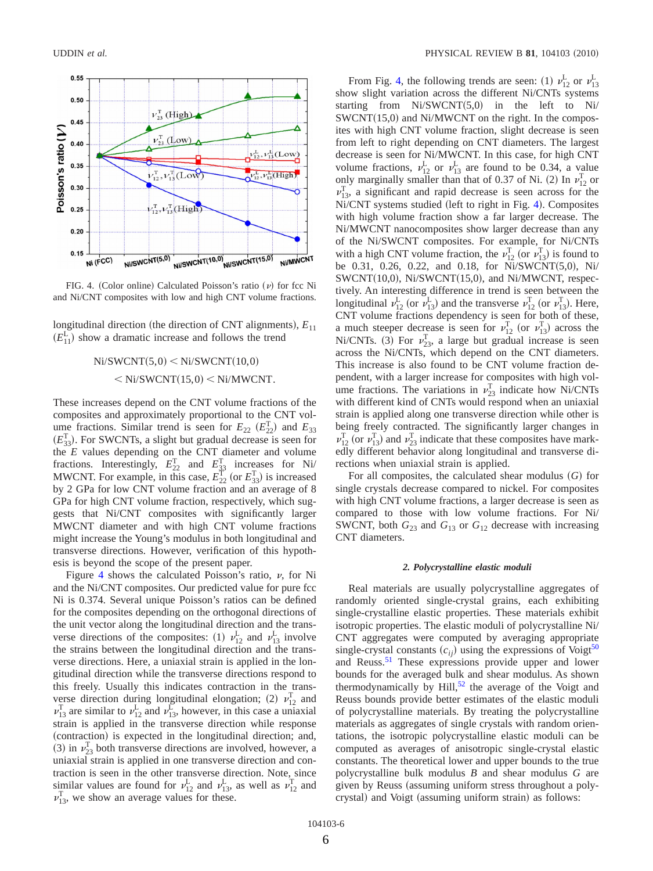<span id="page-7-0"></span>

FIG. 4. (Color online) Calculated Poisson's ratio  $(\nu)$  for fcc Ni and Ni/CNT composites with low and high CNT volume fractions.

longitudinal direction (the direction of CNT alignments),  $E_{11}$  $(E_{11}^{\text{L}})$  show a dramatic increase and follows the trend

$$
Ni/SWCNT(5,0) < Ni/SWCNT(10,0)
$$
  
<  $\langle Ni/SWCNT(15,0) < Ni/MWCNT.$ 

These increases depend on the CNT volume fractions of the composites and approximately proportional to the CNT volume fractions. Similar trend is seen for  $E_{22}$   $(E_{22}^T)$  and  $E_{33}$  $(E_{33}^T)$ . For SWCNTs, a slight but gradual decrease is seen for the *E* values depending on the CNT diameter and volume fractions. Interestingly,  $E_{22}^T$  and  $E_{33}^T$  increases for Ni/ MWCNT. For example, in this case,  $E_{22}^{\text{T}}$  (or  $E_{33}^{\text{T}}$ ) is increased by 2 GPa for low CNT volume fraction and an average of 8 GPa for high CNT volume fraction, respectively, which suggests that Ni/CNT composites with significantly larger MWCNT diameter and with high CNT volume fractions might increase the Young's modulus in both longitudinal and transverse directions. However, verification of this hypothesis is beyond the scope of the present paper.

Figure [4](#page-7-0) shows the calculated Poisson's ratio,  $\nu$ , for Ni and the Ni/CNT composites. Our predicted value for pure fcc Ni is 0.374. Several unique Poisson's ratios can be defined for the composites depending on the orthogonal directions of the unit vector along the longitudinal direction and the transverse directions of the composites: (1)  $\nu_{12}^{\text{L}}$  and  $\nu_{13}^{\text{L}}$  involve the strains between the longitudinal direction and the transverse directions. Here, a uniaxial strain is applied in the longitudinal direction while the transverse directions respond to this freely. Usually this indicates contraction in the transverse direction during longitudinal elongation; (2)  $v_{12}^T$  and  $\nu_{13}^T$  are similar to  $\nu_{12}^L$  and  $\nu_{13}^L$ , however, in this case a uniaxial strain is applied in the transverse direction while response (contraction) is expected in the longitudinal direction; and, (3) in  $\nu_{23}^T$  both transverse directions are involved, however, a uniaxial strain is applied in one transverse direction and contraction is seen in the other transverse direction. Note, since similar values are found for  $\nu_{12}^L$  and  $\nu_{13}^L$ , as well as  $\nu_{12}^T$  and  $v_{13}^T$ , we show an average values for these.

From Fig. [4,](#page-7-0) the following trends are seen: (1)  $v_{12}^L$  or  $v_{13}^L$ show slight variation across the different Ni/CNTs systems starting from  $Ni/SWCNT(5,0)$  in the left to Ni/  $SWCNT(15,0)$  and Ni/MWCNT on the right. In the composites with high CNT volume fraction, slight decrease is seen from left to right depending on CNT diameters. The largest decrease is seen for Ni/MWCNT. In this case, for high CNT volume fractions,  $v_{12}^L$  or  $v_{13}^L$  are found to be 0.34, a value only marginally smaller than that of 0.37 of Ni. (2) In  $\nu_{12}^T$  or  $v_{13}^T$ , a significant and rapid decrease is seen across for the Ni/CNT systems studied (left to right in Fig. [4](#page-7-0)). Composites with high volume fraction show a far larger decrease. The Ni/MWCNT nanocomposites show larger decrease than any of the Ni/SWCNT composites. For example, for Ni/CNTs with a high CNT volume fraction, the  $\nu_{12}^{\text{T}}$  (or  $\nu_{13}^{\text{T}}$ ) is found to be 0.31, 0.26, 0.22, and 0.18, for Ni/SWCNT(5,0), Ni/ SWCNT(10,0), Ni/SWCNT(15,0), and Ni/MWCNT, respectively. An interesting difference in trend is seen between the longitudinal  $\nu_{12}^{\text{L}}$  (or  $\nu_{13}^{\text{L}}$ ) and the transverse  $\nu_{12}^{\text{T}}$  (or  $\nu_{13}^{\text{T}}$ ). Here, CNT volume fractions dependency is seen for both of these, a much steeper decrease is seen for  $v_{12}^T$  (or  $v_{13}^T$ ) across the Ni/CNTs. (3) For  $v_{23}^T$ , a large but gradual increase is seen across the Ni/CNTs, which depend on the CNT diameters. This increase is also found to be CNT volume fraction dependent, with a larger increase for composites with high volume fractions. The variations in  $v_{23}^T$  indicate how Ni/CNTs with different kind of CNTs would respond when an uniaxial strain is applied along one transverse direction while other is being freely contracted. The significantly larger changes in  $\nu_{12}^T$  (or  $\nu_{13}^T$ ) and  $\nu_{23}^T$  indicate that these composites have markedly different behavior along longitudinal and transverse directions when uniaxial strain is applied.

For all composites, the calculated shear modulus (G) for single crystals decrease compared to nickel. For composites with high CNT volume fractions, a larger decrease is seen as compared to those with low volume fractions. For Ni/ SWCNT, both  $G_{23}$  and  $G_{13}$  or  $G_{12}$  decrease with increasing CNT diameters.

#### *2. Polycrystalline elastic moduli*

Real materials are usually polycrystalline aggregates of randomly oriented single-crystal grains, each exhibiting single-crystalline elastic properties. These materials exhibit isotropic properties. The elastic moduli of polycrystalline Ni/ CNT aggregates were computed by averaging appropriate single-crystal constants  $(c_{ij})$  using the expressions of Voigt<sup>50</sup> and Reuss.<sup>51</sup> These expressions provide upper and lower bounds for the averaged bulk and shear modulus. As shown thermodynamically by Hill, $52$  the average of the Voigt and Reuss bounds provide better estimates of the elastic moduli of polycrystalline materials. By treating the polycrystalline materials as aggregates of single crystals with random orientations, the isotropic polycrystalline elastic moduli can be computed as averages of anisotropic single-crystal elastic constants. The theoretical lower and upper bounds to the true polycrystalline bulk modulus *B* and shear modulus *G* are given by Reuss (assuming uniform stress throughout a polycrystal) and Voigt (assuming uniform strain) as follows: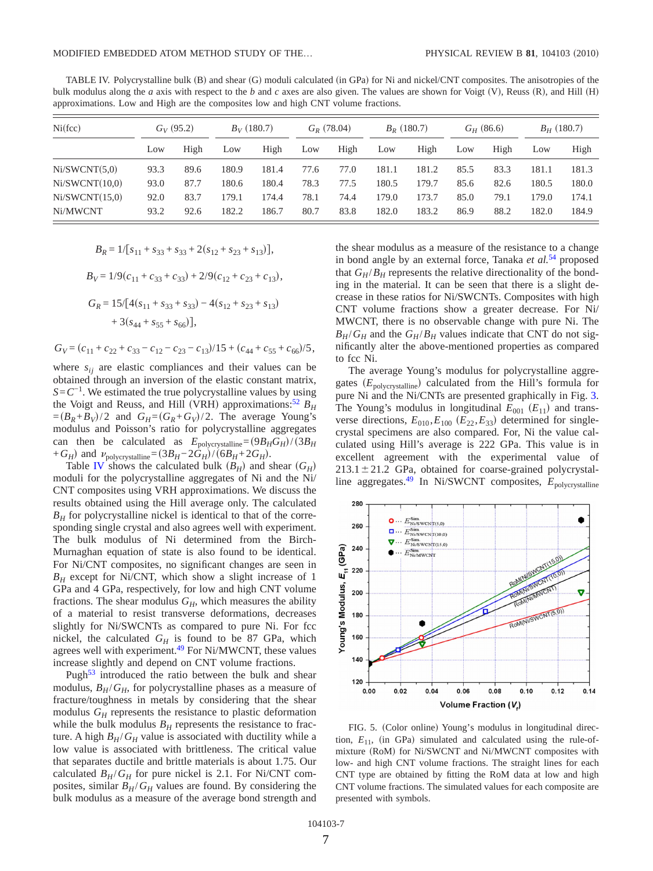<span id="page-8-0"></span>TABLE IV. Polycrystalline bulk (B) and shear (G) moduli calculated (in GPa) for Ni and nickel/CNT composites. The anisotropies of the bulk modulus along the *a* axis with respect to the *b* and *c* axes are also given. The values are shown for Voigt (V), Reuss (R), and Hill (H) approximations. Low and High are the composites low and high CNT volume fractions.

| Ni(fcc)        |      | $G_V(95.2)$ |       | $B_V(180.7)$ |      | $G_R$ (78.04) |       | $B_R$ (180.7) |      | $G_H$ (86.6) |       | $B_H$ (180.7) |  |
|----------------|------|-------------|-------|--------------|------|---------------|-------|---------------|------|--------------|-------|---------------|--|
|                | Low  | High        | Low   | High         | Low  | High          | Low   | High          | Low  | High         | Low   | High          |  |
| Ni/SWCNT(5,0)  | 93.3 | 89.6        | 180.9 | 181.4        | 77.6 | 77.0          | 181.1 | 181.2         | 85.5 | 83.3         | 181.1 | 181.3         |  |
| Ni/SWCNT(10,0) | 93.0 | 87.7        | 180.6 | 180.4        | 78.3 | 77.5          | 180.5 | 179.7         | 85.6 | 82.6         | 180.5 | 180.0         |  |
| Ni/SWCNT(15,0) | 92.0 | 83.7        | 179.1 | 174.4        | 78.1 | 74.4          | 179.0 | 173.7         | 85.0 | 79.1         | 179.0 | 174.1         |  |
| Ni/MWCNT       | 93.2 | 92.6        | 182.2 | 186.7        | 80.7 | 83.8          | 182.0 | 183.2         | 86.9 | 88.2         | 182.0 | 184.9         |  |

$$
B_R = 1/[s_{11} + s_{33} + s_{33} + 2(s_{12} + s_{23} + s_{13})],
$$

 $B_V = 1/9(c_{11} + c_{33} + c_{33}) + 2/9(c_{12} + c_{23} + c_{13}),$ 

$$
G_R = 15/[4(s_{11} + s_{33} + s_{33}) - 4(s_{12} + s_{23} + s_{13})
$$
  
+ 3(s<sub>44</sub> + s<sub>55</sub> + s<sub>66</sub>)],

 $G_V = (c_{11} + c_{22} + c_{33} - c_{12} - c_{23} - c_{13})/15 + (c_{44} + c_{55} + c_{66})/5,$ 

where  $s_{ij}$  are elastic compliances and their values can be obtained through an inversion of the elastic constant matrix,  $S=C^{-1}$ . We estimated the true polycrystalline values by using the Voigt and Reuss, and Hill (VRH) approximations:<sup>52</sup>  $B_H$  $=(B_R + B_V)/2$  and  $G_H = (G_R + G_V)/2$ . The average Young's modulus and Poisson's ratio for polycrystalline aggregates can then be calculated as  $E_{\text{polycrystalline}} = (9B_H G_H)/(3B_H)$  $+G_H$ ) and  $\nu_{\text{polycrystalline}} = (3B_H - 2\tilde{G}_H)/(6B_H + 2G_H)$ .

Table **[IV](#page-8-0)** shows the calculated bulk  $(B_H)$  and shear  $(G_H)$ moduli for the polycrystalline aggregates of Ni and the Ni/ CNT composites using VRH approximations. We discuss the results obtained using the Hill average only. The calculated  $B_H$  for polycrystalline nickel is identical to that of the corresponding single crystal and also agrees well with experiment. The bulk modulus of Ni determined from the Birch-Murnaghan equation of state is also found to be identical. For Ni/CNT composites, no significant changes are seen in  $B_H$  except for Ni/CNT, which show a slight increase of 1 GPa and 4 GPa, respectively, for low and high CNT volume fractions. The shear modulus  $G_H$ , which measures the ability of a material to resist transverse deformations, decreases slightly for Ni/SWCNTs as compared to pure Ni. For fcc nickel, the calculated  $G_H$  is found to be 87 GPa, which agrees well with experiment.<sup>49</sup> For Ni/MWCNT, these values increase slightly and depend on CNT volume fractions.

Pugh $53$  introduced the ratio between the bulk and shear modulus,  $B_H/G_H$ , for polycrystalline phases as a measure of fracture/toughness in metals by considering that the shear modulus  $G_H$  represents the resistance to plastic deformation while the bulk modulus  $B_H$  represents the resistance to fracture. A high  $B_H/G_H$  value is associated with ductility while a low value is associated with brittleness. The critical value that separates ductile and brittle materials is about 1.75. Our calculated  $B_H/G_H$  for pure nickel is 2.1. For Ni/CNT composites, similar  $B_H/G_H$  values are found. By considering the bulk modulus as a measure of the average bond strength and the shear modulus as a measure of the resistance to a change in bond angle by an external force, Tanaka *et al.*[54](#page-13-19) proposed that  $G_H/B_H$  represents the relative directionality of the bonding in the material. It can be seen that there is a slight decrease in these ratios for Ni/SWCNTs. Composites with high CNT volume fractions show a greater decrease. For Ni/ MWCNT, there is no observable change with pure Ni. The  $B_H/G_H$  and the  $G_H/B_H$  values indicate that CNT do not significantly alter the above-mentioned properties as compared to fcc Ni.

The average Young's modulus for polycrystalline aggregates (E<sub>polycrystalline</sub>) calculated from the Hill's formula for pure Ni and the Ni/CNTs are presented graphically in Fig. [3.](#page-6-1) The Young's modulus in longitudinal  $E_{001}$  ( $E_{11}$ ) and transverse directions,  $E_{010}$ ,  $E_{100}$  ( $E_{22}$ ,  $E_{33}$ ) determined for singlecrystal specimens are also compared. For, Ni the value calculated using Hill's average is 222 GPa. This value is in excellent agreement with the experimental value of  $213.1 \pm 21.2$  GPa, obtained for coarse-grained polycrystalline aggregates.<sup>49</sup> In Ni/SWCNT composites,  $E_{\text{polycrystalline}}$ 

<span id="page-8-1"></span>

FIG. 5. (Color online) Young's modulus in longitudinal direction,  $E_{11}$ , (in GPa) simulated and calculated using the rule-ofmixture (RoM) for Ni/SWCNT and Ni/MWCNT composites with low- and high CNT volume fractions. The straight lines for each CNT type are obtained by fitting the RoM data at low and high CNT volume fractions. The simulated values for each composite are presented with symbols.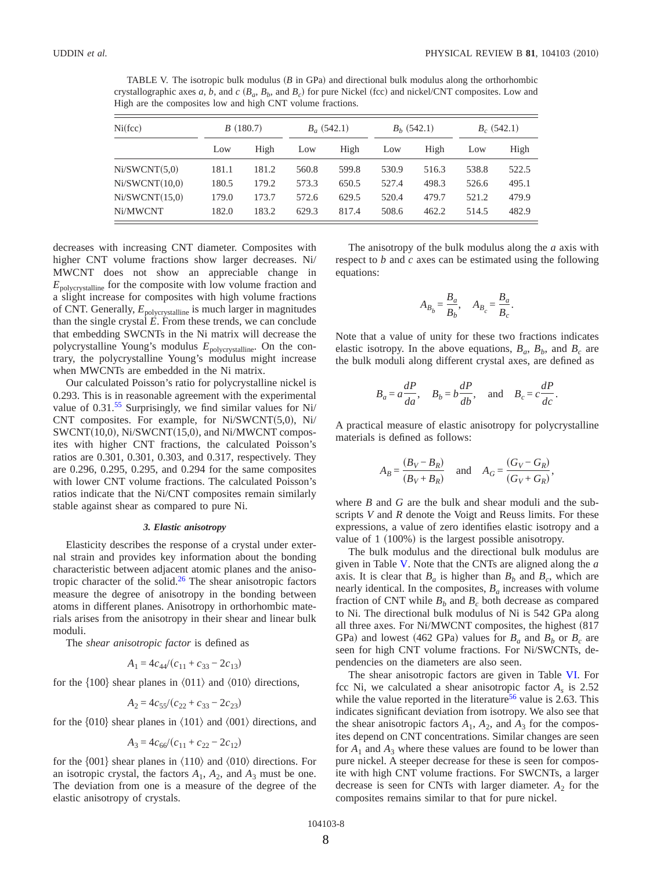<span id="page-9-0"></span>TABLE V. The isotropic bulk modulus (*B* in GPa) and directional bulk modulus along the orthorhombic crystallographic axes *a*, *b*, and *c* ( $B_a$ ,  $B_b$ , and  $B_c$ ) for pure Nickel (fcc) and nickel/CNT composites. Low and High are the composites low and high CNT volume fractions.

| Ni(fcc)        |       | B(180.7) |       | $B_a$ (542.1) |       | $B_h$ (542.1) | $B_c$ (542.1) |       |
|----------------|-------|----------|-------|---------------|-------|---------------|---------------|-------|
|                | Low   | High     | Low   | High          | Low   | High          | Low           | High  |
| Ni/SWCNT(5,0)  | 181.1 | 181.2    | 560.8 | 599.8         | 530.9 | 516.3         | 538.8         | 522.5 |
| Ni/SWCNT(10,0) | 180.5 | 179.2    | 573.3 | 650.5         | 527.4 | 498.3         | 526.6         | 495.1 |
| Ni/SWCNT(15,0) | 179.0 | 173.7    | 572.6 | 629.5         | 520.4 | 479.7         | 521.2         | 479.9 |
| Ni/MWCNT       | 182.0 | 183.2    | 629.3 | 817.4         | 508.6 | 462.2         | 514.5         | 482.9 |

decreases with increasing CNT diameter. Composites with higher CNT volume fractions show larger decreases. Ni/ MWCNT does not show an appreciable change in *E*polycrystalline for the composite with low volume fraction and a slight increase for composites with high volume fractions of CNT. Generally,  $E_{\text{polycrystalline}}$  is much larger in magnitudes than the single crystal  $\vec{E}$ . From these trends, we can conclude that embedding SWCNTs in the Ni matrix will decrease the polycrystalline Young's modulus *E*polycrystalline. On the contrary, the polycrystalline Young's modulus might increase when MWCNTs are embedded in the Ni matrix.

Our calculated Poisson's ratio for polycrystalline nickel is 0.293. This is in reasonable agreement with the experimental value of 0.31.<sup>55</sup> Surprisingly, we find similar values for Ni/ CNT composites. For example, for Ni/SWCNT(5,0), Ni/ SWCNT(10,0), Ni/SWCNT(15,0), and Ni/MWCNT composites with higher CNT fractions, the calculated Poisson's ratios are 0.301, 0.301, 0.303, and 0.317, respectively. They are 0.296, 0.295, 0.295, and 0.294 for the same composites with lower CNT volume fractions. The calculated Poisson's ratios indicate that the Ni/CNT composites remain similarly stable against shear as compared to pure Ni.

#### *3. Elastic anisotropy*

Elasticity describes the response of a crystal under external strain and provides key information about the bonding characteristic between adjacent atomic planes and the anisotropic character of the solid. $26$  The shear anisotropic factors measure the degree of anisotropy in the bonding between atoms in different planes. Anisotropy in orthorhombic materials arises from the anisotropy in their shear and linear bulk moduli.

The *shear anisotropic factor* is defined as

$$
A_1 = 4c_{44}/(c_{11} + c_{33} - 2c_{13})
$$

for the  $\{100\}$  shear planes in  $\langle 011 \rangle$  and  $\langle 010 \rangle$  directions,

$$
A_2 = 4c_{55}/(c_{22} + c_{33} - 2c_{23})
$$

for the  $\{010\}$  shear planes in  $\langle 101 \rangle$  and  $\langle 001 \rangle$  directions, and

$$
A_3 = 4c_{66}/(c_{11} + c_{22} - 2c_{12})
$$

for the  $\{001\}$  shear planes in  $\langle 110 \rangle$  and  $\langle 010 \rangle$  directions. For an isotropic crystal, the factors  $A_1$ ,  $A_2$ , and  $A_3$  must be one. The deviation from one is a measure of the degree of the elastic anisotropy of crystals.

The anisotropy of the bulk modulus along the *a* axis with respect to *b* and *c* axes can be estimated using the following equations:

$$
A_{B_b} = \frac{B_a}{B_b}, \quad A_{B_c} = \frac{B_a}{B_c}.
$$

Note that a value of unity for these two fractions indicates elastic isotropy. In the above equations,  $B_a$ ,  $B_b$ , and  $B_c$  are the bulk moduli along different crystal axes, are defined as

$$
B_a = a\frac{dP}{da}
$$
,  $B_b = b\frac{dP}{db}$ , and  $B_c = c\frac{dP}{dc}$ .

A practical measure of elastic anisotropy for polycrystalline materials is defined as follows:

$$
A_B = \frac{(B_V - B_R)}{(B_V + B_R)} \quad \text{and} \quad A_G = \frac{(G_V - G_R)}{(G_V + G_R)},
$$

where *B* and *G* are the bulk and shear moduli and the subscripts *V* and *R* denote the Voigt and Reuss limits. For these expressions, a value of zero identifies elastic isotropy and a value of 1 (100%) is the largest possible anisotropy.

The bulk modulus and the directional bulk modulus are given in Table [V.](#page-9-0) Note that the CNTs are aligned along the *a* axis. It is clear that  $B_a$  is higher than  $B_b$  and  $B_c$ , which are nearly identical. In the composites,  $B_a$  increases with volume fraction of CNT while  $B<sub>b</sub>$  and  $B<sub>c</sub>$  both decrease as compared to Ni. The directional bulk modulus of Ni is 542 GPa along all three axes. For Ni/MWCNT composites, the highest (817 GPa) and lowest (462 GPa) values for  $B_a$  and  $B_b$  or  $B_c$  are seen for high CNT volume fractions. For Ni/SWCNTs, dependencies on the diameters are also seen.

The shear anisotropic factors are given in Table [VI.](#page-10-0) For fcc Ni, we calculated a shear anisotropic factor *As* is 2.52 while the value reported in the literature<sup>[56](#page-13-21)</sup> value is 2.63. This indicates significant deviation from isotropy. We also see that the shear anisotropic factors  $A_1$ ,  $A_2$ , and  $A_3$  for the composites depend on CNT concentrations. Similar changes are seen for  $A_1$  and  $A_3$  where these values are found to be lower than pure nickel. A steeper decrease for these is seen for composite with high CNT volume fractions. For SWCNTs, a larger decrease is seen for CNTs with larger diameter.  $A_2$  for the composites remains similar to that for pure nickel.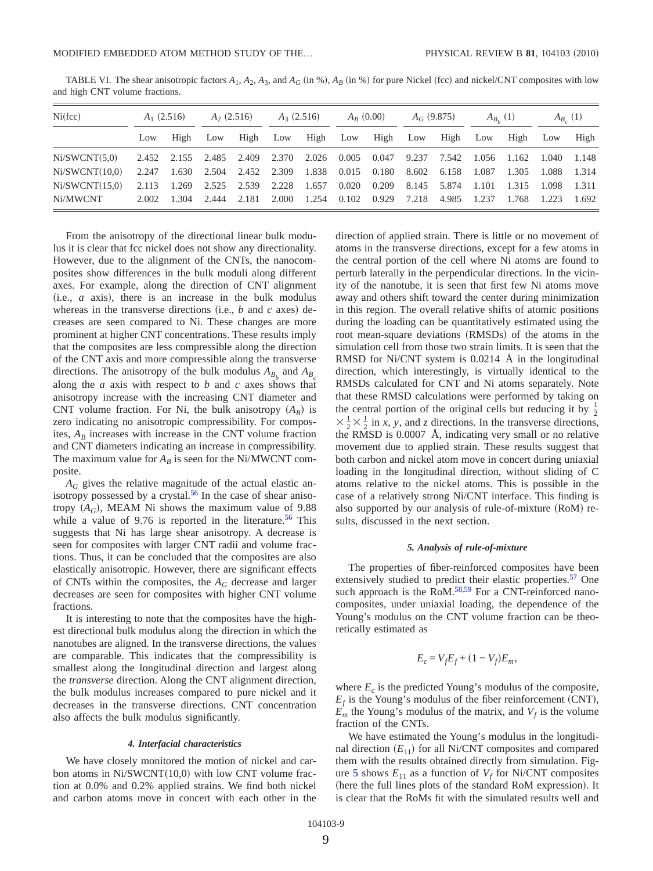<span id="page-10-0"></span>TABLE VI. The shear anisotropic factors  $A_1$ ,  $A_2$ ,  $A_3$ , and  $A_G$  (in %),  $A_B$  (in %) for pure Nickel (fcc) and nickel/CNT composites with low and high CNT volume fractions.

| Ni(fcc)        | $A_1$ (2.516) |             | $A_2$ (2.516) |             | $A_3(2.516)$ |       | $A_R(0.00)$         |       | $A_G$ (9.875) |       | $A_{B_{L}}(1)$ |             | $A_{B_{c}}(1)$ |       |
|----------------|---------------|-------------|---------------|-------------|--------------|-------|---------------------|-------|---------------|-------|----------------|-------------|----------------|-------|
|                | Low           | High        | Low           | High        | Low          | High  | Low                 | High  | Low           | High  | Low            | High        | Low            | High  |
| Ni/SWCNT(5.0)  | 2.452         | 2.155 2.485 |               | 2.409       | 2.370        | 2.026 | 0.005 0.047         |       | 9.237         | 7.542 | 1.056          | 1.162 1.040 |                | 1.148 |
| Ni/SWCNT(10.0) | 2.247         |             | 1.630 2.504   | 2.452 2.309 |              | 1.838 | $0.015$ 0.180       |       | 8.602         | 6.158 | 1.087          | 1.305       | 1.088          | 1.314 |
| Ni/SWCNT(15.0) | 2.113         |             | 1.269 2.525   | 2.539 2.228 |              | 1.657 | $0.020 \quad 0.209$ |       | 8.145 5.874   |       | 1.101          | 1.315       | - 1.098        | 1.311 |
| Ni/MWCNT       | 2.002         | 1.304       | 2.444         | 2.181       | 2.000        | 1.254 | 0.102               | 0.929 | 7.218         | 4.985 | 1.237          | 1.768       | 1.223          | 1.692 |

From the anisotropy of the directional linear bulk modulus it is clear that fcc nickel does not show any directionality. However, due to the alignment of the CNTs, the nanocomposites show differences in the bulk moduli along different axes. For example, along the direction of CNT alignment  $(i.e., a axis),$  there is an increase in the bulk modulus whereas in the transverse directions (i.e.,  $b$  and  $c$  axes) decreases are seen compared to Ni. These changes are more prominent at higher CNT concentrations. These results imply that the composites are less compressible along the direction of the CNT axis and more compressible along the transverse directions. The anisotropy of the bulk modulus  $A_B$ , and  $A_B$ along the *a* axis with respect to *b* and *c* axes shows that anisotropy increase with the increasing CNT diameter and CNT volume fraction. For Ni, the bulk anisotropy  $(A_B)$  is zero indicating no anisotropic compressibility. For composites,  $A_B$  increases with increase in the CNT volume fraction and CNT diameters indicating an increase in compressibility. The maximum value for  $A_B$  is seen for the Ni/MWCNT composite.

*AG* gives the relative magnitude of the actual elastic anisotropy possessed by a crystal.<sup>56</sup> In the case of shear anisotropy  $(A_G)$ , MEAM Ni shows the maximum value of 9.88 while a value of  $9.76$  is reported in the literature.<sup>56</sup> This suggests that Ni has large shear anisotropy. A decrease is seen for composites with larger CNT radii and volume fractions. Thus, it can be concluded that the composites are also elastically anisotropic. However, there are significant effects of CNTs within the composites, the  $A_G$  decrease and larger decreases are seen for composites with higher CNT volume fractions.

It is interesting to note that the composites have the highest directional bulk modulus along the direction in which the nanotubes are aligned. In the transverse directions, the values are comparable. This indicates that the compressibility is smallest along the longitudinal direction and largest along the *transverse* direction. Along the CNT alignment direction, the bulk modulus increases compared to pure nickel and it decreases in the transverse directions. CNT concentration also affects the bulk modulus significantly.

## *4. Interfacial characteristics*

We have closely monitored the motion of nickel and carbon atoms in Ni/SWCNT(10,0) with low CNT volume fraction at 0.0% and 0.2% applied strains. We find both nickel and carbon atoms move in concert with each other in the

direction of applied strain. There is little or no movement of atoms in the transverse directions, except for a few atoms in the central portion of the cell where Ni atoms are found to perturb laterally in the perpendicular directions. In the vicinity of the nanotube, it is seen that first few Ni atoms move away and others shift toward the center during minimization in this region. The overall relative shifts of atomic positions during the loading can be quantitatively estimated using the root mean-square deviations (RMSDs) of the atoms in the simulation cell from those two strain limits. It is seen that the RMSD for Ni/CNT system is 0.0214 Å in the longitudinal direction, which interestingly, is virtually identical to the RMSDs calculated for CNT and Ni atoms separately. Note that these RMSD calculations were performed by taking on the central portion of the original cells but reducing it by  $\frac{1}{2}$  $\times \frac{1}{2} \times \frac{1}{2}$  in *x*, *y*, and *z* directions. In the transverse directions, the RMSD is 0.0007 Å, indicating very small or no relative movement due to applied strain. These results suggest that both carbon and nickel atom move in concert during uniaxial loading in the longitudinal direction, without sliding of C atoms relative to the nickel atoms. This is possible in the case of a relatively strong Ni/CNT interface. This finding is also supported by our analysis of rule-of-mixture (RoM) results, discussed in the next section.

## *5. Analysis of rule-of-mixture*

The properties of fiber-reinforced composites have been extensively studied to predict their elastic properties.<sup>57</sup> One such approach is the RoM.<sup>58,[59](#page-13-24)</sup> For a CNT-reinforced nanocomposites, under uniaxial loading, the dependence of the Young's modulus on the CNT volume fraction can be theoretically estimated as

$$
E_c = V_f E_f + (1 - V_f) E_m,
$$

where  $E_c$  is the predicted Young's modulus of the composite,  $E_f$  is the Young's modulus of the fiber reinforcement (CNT),  $\overline{E}_m$  the Young's modulus of the matrix, and  $V_f$  is the volume fraction of the CNTs.

We have estimated the Young's modulus in the longitudinal direction  $(E_{11})$  for all Ni/CNT composites and compared them with the results obtained directly from simulation. Fig-ure [5](#page-8-1) shows  $E_{11}$  as a function of  $V_f$  for Ni/CNT composites (here the full lines plots of the standard RoM expression). It is clear that the RoMs fit with the simulated results well and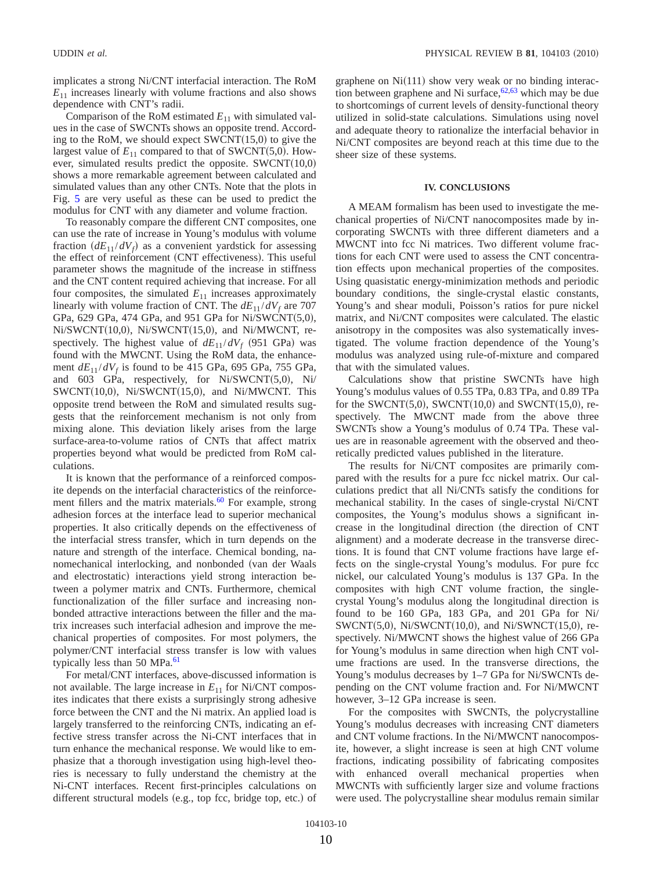implicates a strong Ni/CNT interfacial interaction. The RoM  $E_{11}$  increases linearly with volume fractions and also shows dependence with CNT's radii.

Comparison of the RoM estimated  $E_{11}$  with simulated values in the case of SWCNTs shows an opposite trend. According to the RoM, we should expect  $SWCNT(15,0)$  to give the largest value of  $E_{11}$  compared to that of SWCNT(5,0). However, simulated results predict the opposite.  $SWCNT(10,0)$ shows a more remarkable agreement between calculated and simulated values than any other CNTs. Note that the plots in Fig. [5](#page-8-1) are very useful as these can be used to predict the modulus for CNT with any diameter and volume fraction.

To reasonably compare the different CNT composites, one can use the rate of increase in Young's modulus with volume fraction  $(dE_{11}/dV_f)$  as a convenient yardstick for assessing the effect of reinforcement (CNT effectiveness). This useful parameter shows the magnitude of the increase in stiffness and the CNT content required achieving that increase. For all four composites, the simulated  $E_{11}$  increases approximately linearly with volume fraction of CNT. The  $dE_{11}/dV_f$  are 707 GPa, 629 GPa, 474 GPa, and 951 GPa for Ni/SWCNT(5,0), Ni/SWCNT(10,0), Ni/SWCNT(15,0), and Ni/MWCNT, respectively. The highest value of  $dE_{11}/dV_f$  (951 GPa) was found with the MWCNT. Using the RoM data, the enhancement  $dE_{11}/dV_f$  is found to be 415 GPa, 695 GPa, 755 GPa, and 603 GPa, respectively, for Ni/SWCNT(5,0), Ni/  $SWCNT(10,0)$ , Ni/SWCNT $(15,0)$ , and Ni/MWCNT. This opposite trend between the RoM and simulated results suggests that the reinforcement mechanism is not only from mixing alone. This deviation likely arises from the large surface-area-to-volume ratios of CNTs that affect matrix properties beyond what would be predicted from RoM calculations.

It is known that the performance of a reinforced composite depends on the interfacial characteristics of the reinforcement fillers and the matrix materials. $60$  For example, strong adhesion forces at the interface lead to superior mechanical properties. It also critically depends on the effectiveness of the interfacial stress transfer, which in turn depends on the nature and strength of the interface. Chemical bonding, nanomechanical interlocking, and nonbonded (van der Waals and electrostatic) interactions yield strong interaction between a polymer matrix and CNTs. Furthermore, chemical functionalization of the filler surface and increasing nonbonded attractive interactions between the filler and the matrix increases such interfacial adhesion and improve the mechanical properties of composites. For most polymers, the polymer/CNT interfacial stress transfer is low with values typically less than 50 MPa. $^{61}$ 

For metal/CNT interfaces, above-discussed information is not available. The large increase in  $E_{11}$  for Ni/CNT composites indicates that there exists a surprisingly strong adhesive force between the CNT and the Ni matrix. An applied load is largely transferred to the reinforcing CNTs, indicating an effective stress transfer across the Ni-CNT interfaces that in turn enhance the mechanical response. We would like to emphasize that a thorough investigation using high-level theories is necessary to fully understand the chemistry at the Ni-CNT interfaces. Recent first-principles calculations on different structural models (e.g., top fcc, bridge top, etc.) of

graphene on  $Ni(111)$  show very weak or no binding interaction between graphene and Ni surface,  $62,63$  $62,63$  which may be due to shortcomings of current levels of density-functional theory utilized in solid-state calculations. Simulations using novel and adequate theory to rationalize the interfacial behavior in Ni/CNT composites are beyond reach at this time due to the sheer size of these systems.

## **IV. CONCLUSIONS**

A MEAM formalism has been used to investigate the mechanical properties of Ni/CNT nanocomposites made by incorporating SWCNTs with three different diameters and a MWCNT into fcc Ni matrices. Two different volume fractions for each CNT were used to assess the CNT concentration effects upon mechanical properties of the composites. Using quasistatic energy-minimization methods and periodic boundary conditions, the single-crystal elastic constants, Young's and shear moduli, Poisson's ratios for pure nickel matrix, and Ni/CNT composites were calculated. The elastic anisotropy in the composites was also systematically investigated. The volume fraction dependence of the Young's modulus was analyzed using rule-of-mixture and compared that with the simulated values.

Calculations show that pristine SWCNTs have high Young's modulus values of 0.55 TPa, 0.83 TPa, and 0.89 TPa for the SWCNT $(5,0)$ , SWCNT $(10,0)$  and SWCNT $(15,0)$ , respectively. The MWCNT made from the above three SWCNTs show a Young's modulus of 0.74 TPa. These values are in reasonable agreement with the observed and theoretically predicted values published in the literature.

The results for Ni/CNT composites are primarily compared with the results for a pure fcc nickel matrix. Our calculations predict that all Ni/CNTs satisfy the conditions for mechanical stability. In the cases of single-crystal Ni/CNT composites, the Young's modulus shows a significant increase in the longitudinal direction (the direction of CNT alignment) and a moderate decrease in the transverse directions. It is found that CNT volume fractions have large effects on the single-crystal Young's modulus. For pure fcc nickel, our calculated Young's modulus is 137 GPa. In the composites with high CNT volume fraction, the singlecrystal Young's modulus along the longitudinal direction is found to be 160 GPa, 183 GPa, and 201 GPa for Ni/  $SWCNT(5,0)$ , Ni/SWCNT $(10,0)$ , and Ni/SWNCT $(15,0)$ , respectively. Ni/MWCNT shows the highest value of 266 GPa for Young's modulus in same direction when high CNT volume fractions are used. In the transverse directions, the Young's modulus decreases by 1–7 GPa for Ni/SWCNTs depending on the CNT volume fraction and. For Ni/MWCNT however, 3–12 GPa increase is seen.

For the composites with SWCNTs, the polycrystalline Young's modulus decreases with increasing CNT diameters and CNT volume fractions. In the Ni/MWCNT nanocomposite, however, a slight increase is seen at high CNT volume fractions, indicating possibility of fabricating composites with enhanced overall mechanical properties when MWCNTs with sufficiently larger size and volume fractions were used. The polycrystalline shear modulus remain similar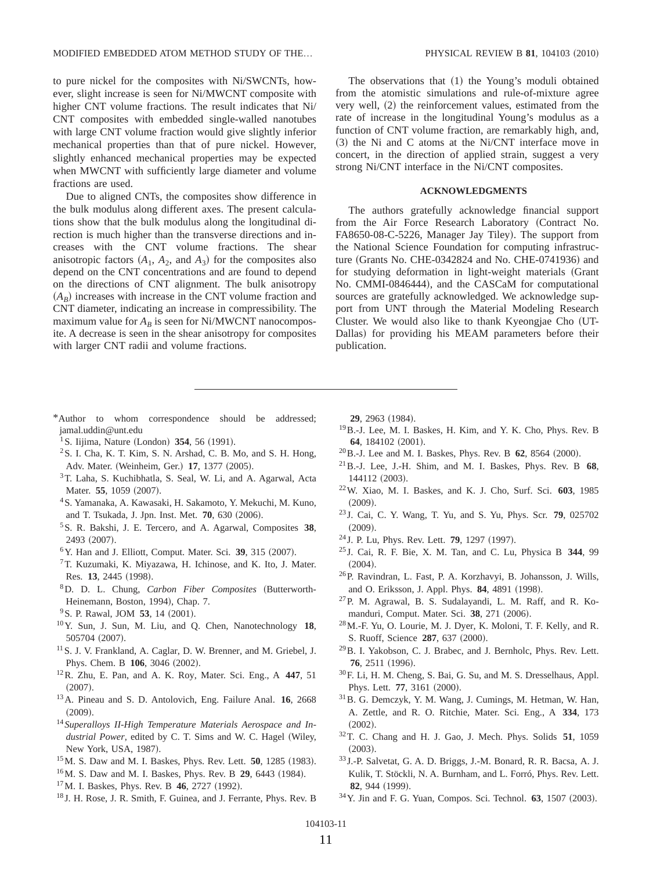to pure nickel for the composites with Ni/SWCNTs, however, slight increase is seen for Ni/MWCNT composite with higher CNT volume fractions. The result indicates that Ni/ CNT composites with embedded single-walled nanotubes with large CNT volume fraction would give slightly inferior mechanical properties than that of pure nickel. However, slightly enhanced mechanical properties may be expected when MWCNT with sufficiently large diameter and volume fractions are used.

Due to aligned CNTs, the composites show difference in the bulk modulus along different axes. The present calculations show that the bulk modulus along the longitudinal direction is much higher than the transverse directions and increases with the CNT volume fractions. The shear anisotropic factors  $(A_1, A_2, \text{ and } A_3)$  for the composites also depend on the CNT concentrations and are found to depend on the directions of CNT alignment. The bulk anisotropy  $(A_B)$  increases with increase in the CNT volume fraction and CNT diameter, indicating an increase in compressibility. The maximum value for  $A_B$  is seen for Ni/MWCNT nanocomposite. A decrease is seen in the shear anisotropy for composites with larger CNT radii and volume fractions.

The observations that  $(1)$  the Young's moduli obtained from the atomistic simulations and rule-of-mixture agree very well, (2) the reinforcement values, estimated from the rate of increase in the longitudinal Young's modulus as a function of CNT volume fraction, are remarkably high, and,  $(3)$  the Ni and C atoms at the Ni/CNT interface move in concert, in the direction of applied strain, suggest a very strong Ni/CNT interface in the Ni/CNT composites.

## **ACKNOWLEDGMENTS**

The authors gratefully acknowledge financial support from the Air Force Research Laboratory Contract No. FA8650-08-C-5226, Manager Jay Tiley). The support from the National Science Foundation for computing infrastructure (Grants No. CHE-0342824 and No. CHE-0741936) and for studying deformation in light-weight materials Grant No. CMMI-0846444), and the CASCaM for computational sources are gratefully acknowledged. We acknowledge support from UNT through the Material Modeling Research Cluster. We would also like to thank Kyeongjae Cho UT-Dallas) for providing his MEAM parameters before their publication.

- <span id="page-12-0"></span>\*Author to whom correspondence should be addressed; jamal.uddin@unt.edu
- <span id="page-12-1"></span><sup>1</sup> S. Iijima, Nature (London) **354**, 56 (1991).
- <span id="page-12-2"></span>2S. I. Cha, K. T. Kim, S. N. Arshad, C. B. Mo, and S. H. Hong, Adv. Mater. (Weinheim, Ger.) 17, 1377 (2005).
- 3T. Laha, S. Kuchibhatla, S. Seal, W. Li, and A. Agarwal, Acta Mater. **55**, 1059 (2007).
- <span id="page-12-4"></span>4S. Yamanaka, A. Kawasaki, H. Sakamoto, Y. Mekuchi, M. Kuno, and T. Tsukada, J. Jpn. Inst. Met. **70**, 630 (2006).
- <span id="page-12-5"></span>5S. R. Bakshi, J. E. Tercero, and A. Agarwal, Composites **38**, 2493 (2007).
- <span id="page-12-3"></span><sup>6</sup> Y. Han and J. Elliott, Comput. Mater. Sci. 39, 315 (2007).
- <span id="page-12-6"></span> $7$ T. Kuzumaki, K. Miyazawa, H. Ichinose, and K. Ito, J. Mater. Res. **13**, 2445 (1998).
- <span id="page-12-7"></span><sup>8</sup>D. D. L. Chung, *Carbon Fiber Composites* (Butterworth-Heinemann, Boston, 1994), Chap. 7.
- <span id="page-12-8"></span><sup>9</sup> S. P. Rawal, JOM **53**, 14 (2001).
- <span id="page-12-9"></span>10Y. Sun, J. Sun, M. Liu, and Q. Chen, Nanotechnology **18**, 505704 (2007).
- <span id="page-12-10"></span>11S. J. V. Frankland, A. Caglar, D. W. Brenner, and M. Griebel, J. Phys. Chem. B 106, 3046 (2002).
- <span id="page-12-11"></span>12R. Zhu, E. Pan, and A. K. Roy, Mater. Sci. Eng., A **447**, 51  $(2007).$
- <span id="page-12-12"></span>13A. Pineau and S. D. Antolovich, Eng. Failure Anal. **16**, 2668  $(2009).$
- <span id="page-12-13"></span><sup>14</sup> *Superalloys II-High Temperature Materials Aerospace and In*dustrial Power, edited by C. T. Sims and W. C. Hagel (Wiley, New York, USA, 1987).
- <span id="page-12-14"></span><sup>15</sup>M. S. Daw and M. I. Baskes, Phys. Rev. Lett. **50**, 1285 (1983).
- <span id="page-12-15"></span><sup>16</sup>M. S. Daw and M. I. Baskes, Phys. Rev. B **29**, 6443 (1984).
- <span id="page-12-16"></span><sup>17</sup> M. I. Baskes, Phys. Rev. B **46**, 2727 (1992).
- <span id="page-12-17"></span><sup>18</sup> J. H. Rose, J. R. Smith, F. Guinea, and J. Ferrante, Phys. Rev. B

29, 2963 (1984).

- <span id="page-12-18"></span>19B.-J. Lee, M. I. Baskes, H. Kim, and Y. K. Cho, Phys. Rev. B 64, 184102 (2001).
- <span id="page-12-19"></span><sup>20</sup> B.-J. Lee and M. I. Baskes, Phys. Rev. B **62**, 8564 (2000).
- <span id="page-12-20"></span>21B.-J. Lee, J.-H. Shim, and M. I. Baskes, Phys. Rev. B **68**, 144112 (2003).
- <span id="page-12-21"></span>22W. Xiao, M. I. Baskes, and K. J. Cho, Surf. Sci. **603**, 1985  $(2009).$
- <span id="page-12-22"></span><sup>23</sup> J. Cai, C. Y. Wang, T. Yu, and S. Yu, Phys. Scr. **79**, 025702  $(2009).$
- <span id="page-12-23"></span><sup>24</sup> J. P. Lu, Phys. Rev. Lett. **79**, 1297 (1997).
- <span id="page-12-24"></span><sup>25</sup> J. Cai, R. F. Bie, X. M. Tan, and C. Lu, Physica B **344**, 99  $(2004).$
- <span id="page-12-25"></span>26P. Ravindran, L. Fast, P. A. Korzhavyi, B. Johansson, J. Wills, and O. Eriksson, J. Appl. Phys. 84, 4891 (1998).
- <span id="page-12-30"></span>27P. M. Agrawal, B. S. Sudalayandi, L. M. Raff, and R. Komanduri, Comput. Mater. Sci. 38, 271 (2006).
- <span id="page-12-26"></span> $^{28}$ M.-F. Yu, O. Lourie, M. J. Dyer, K. Moloni, T. F. Kelly, and R. S. Ruoff, Science 287, 637 (2000).
- <span id="page-12-31"></span>29B. I. Yakobson, C. J. Brabec, and J. Bernholc, Phys. Rev. Lett. 76, 2511 (1996).
- <span id="page-12-27"></span>30F. Li, H. M. Cheng, S. Bai, G. Su, and M. S. Dresselhaus, Appl. Phys. Lett. 77, 3161 (2000).
- <span id="page-12-28"></span>31B. G. Demczyk, Y. M. Wang, J. Cumings, M. Hetman, W. Han, A. Zettle, and R. O. Ritchie, Mater. Sci. Eng., A **334**, 173  $(2002).$
- <span id="page-12-32"></span>32T. C. Chang and H. J. Gao, J. Mech. Phys. Solids **51**, 1059  $(2003).$
- <span id="page-12-29"></span><sup>33</sup> J.-P. Salvetat, G. A. D. Briggs, J.-M. Bonard, R. R. Bacsa, A. J. Kulik, T. Stöckli, N. A. Burnham, and L. Forró, Phys. Rev. Lett. 82, 944 (1999).
- <span id="page-12-33"></span><sup>34</sup> Y. Jin and F. G. Yuan, Compos. Sci. Technol. **63**, 1507 (2003).